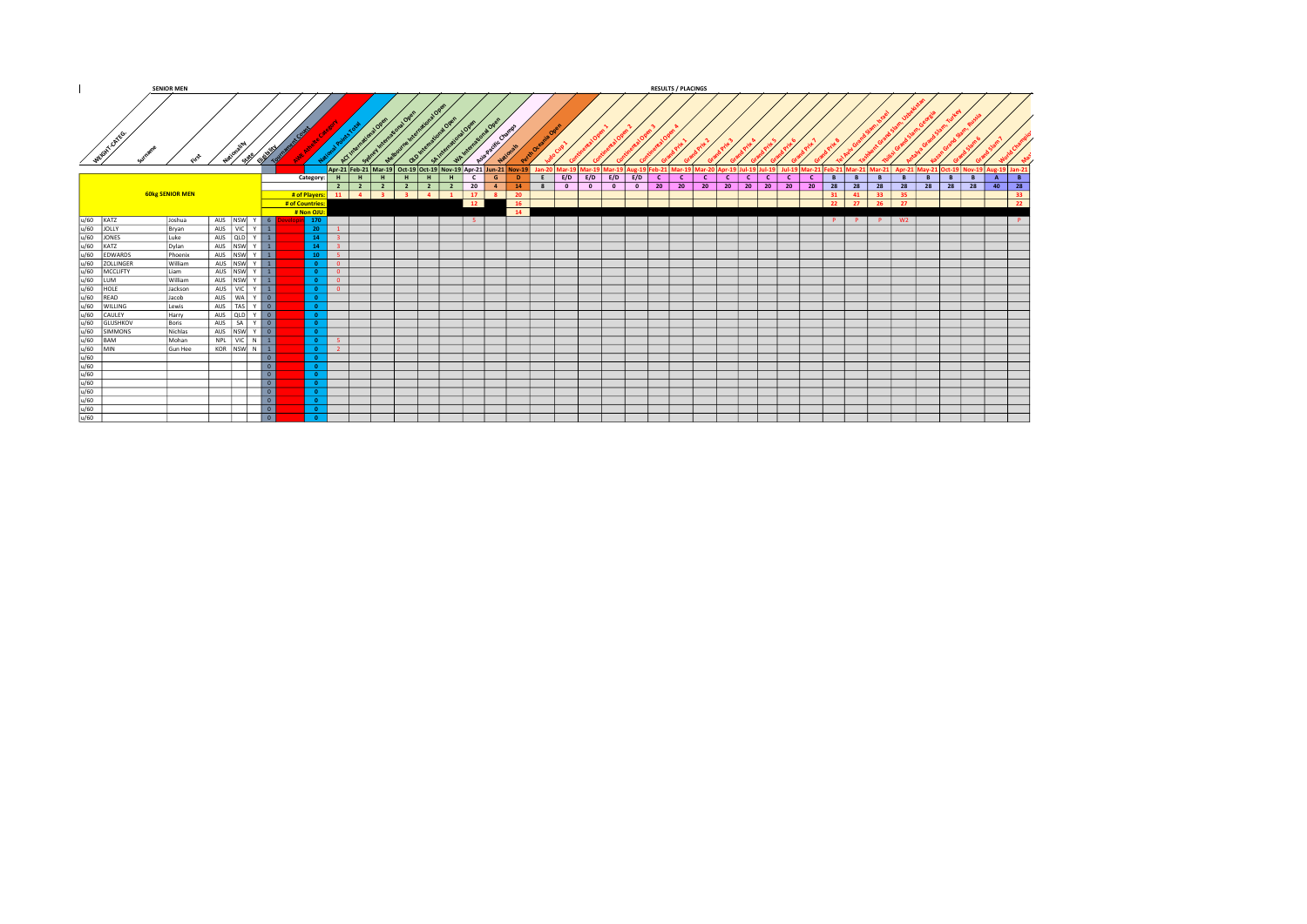|                                                                                                                                                                                                                                                                                                                                                                                                                                                                                  | <b>SENIOR MEN</b>      |                             |                          |                    |                          |                   |                                                                                                   |     |              |                |              |              |     |                             |  |                       | <b>RESULTS / PLACINGS</b>                           |            |     |          |              |          |   |                   |    |                |   |   |                                                                                                 |                |          |
|----------------------------------------------------------------------------------------------------------------------------------------------------------------------------------------------------------------------------------------------------------------------------------------------------------------------------------------------------------------------------------------------------------------------------------------------------------------------------------|------------------------|-----------------------------|--------------------------|--------------------|--------------------------|-------------------|---------------------------------------------------------------------------------------------------|-----|--------------|----------------|--------------|--------------|-----|-----------------------------|--|-----------------------|-----------------------------------------------------|------------|-----|----------|--------------|----------|---|-------------------|----|----------------|---|---|-------------------------------------------------------------------------------------------------|----------------|----------|
| Weight oxies.                                                                                                                                                                                                                                                                                                                                                                                                                                                                    |                        | <b>STARE</b>                | Eligibility              |                    |                          |                   |                                                                                                   |     |              |                |              |              |     |                             |  |                       |                                                     |            |     |          |              |          |   |                   |    |                |   |   |                                                                                                 |                |          |
|                                                                                                                                                                                                                                                                                                                                                                                                                                                                                  |                        |                             |                          |                    |                          |                   | Apr-21 Feb-21 Mar-19 Oct-19 Oct-19 Nov-19 Apr-21 Jun-21 Nov-19 Jan-20 Mar-19 Mar-19 Mar-19 Aug-19 |     |              |                |              |              |     |                             |  |                       | Feb-21   Mar-19   Mar-20   Apr-19   Jul-19   Jul-19 |            |     |          |              |          |   |                   |    |                |   |   | ul-19   Mar-21   Feb-21   Mar-21   Mar-21   Apr-21   May-21   Oct-19   Nov-19   Aug-19   Jan-21 |                |          |
|                                                                                                                                                                                                                                                                                                                                                                                                                                                                                  |                        |                             |                          |                    |                          | Category: $H$ $H$ | -н 1<br>H                                                                                         | н І | H            | $\overline{c}$ | $\mathsf{G}$ | $\mathbf{D}$ |     | $E$ $E/D$ $E/D$ $E/D$ $E/D$ |  | $\lfloor$ c $\lfloor$ | $\mathsf{C}$                                        | $c \mid c$ | c I | <b>C</b> | $\mathbf{C}$ | <b>C</b> | B | B                 | B  | B              | B | B | B                                                                                               | $\overline{A}$ | <b>B</b> |
|                                                                                                                                                                                                                                                                                                                                                                                                                                                                                  |                        |                             |                          |                    |                          |                   | 2 2 2 2                                                                                           |     | 2 2 20 4     |                |              | 14           | 800 |                             |  |                       |                                                     |            |     |          |              |          |   |                   |    |                |   |   | 0 0 0 20 20 20 20 20 20 20 20 20 28 28 28 28 28 28 28 40 28                                     |                |          |
|                                                                                                                                                                                                                                                                                                                                                                                                                                                                                  | <b>60kg SENIOR MEN</b> |                             |                          | # of Players:   11 |                          |                   | 4 3 3                                                                                             |     | 4 1 1 2 8 20 |                |              |              |     |                             |  |                       |                                                     |            |     |          |              |          |   |                   |    | 31 41 33 35    |   |   |                                                                                                 |                | 33       |
|                                                                                                                                                                                                                                                                                                                                                                                                                                                                                  |                        |                             |                          | # of Countries:    |                          |                   |                                                                                                   |     | 12           |                |              | <b>16</b>    |     |                             |  |                       |                                                     |            |     |          |              |          |   | $22 \mid 27 \mid$ | 26 | $\frac{1}{27}$ |   |   |                                                                                                 |                | 22       |
|                                                                                                                                                                                                                                                                                                                                                                                                                                                                                  |                        |                             |                          | # Non OJU:         |                          |                   |                                                                                                   |     |              |                |              | $-14$        |     |                             |  |                       |                                                     |            |     |          |              |          |   |                   |    |                |   |   |                                                                                                 |                |          |
|                                                                                                                                                                                                                                                                                                                                                                                                                                                                                  | Joshua                 | AUS NSW Y 6                 |                          | 170                |                          |                   |                                                                                                   |     | $-5$         |                |              |              |     |                             |  |                       |                                                     |            |     |          |              |          |   |                   |    | P P P W2       |   |   |                                                                                                 |                | P        |
|                                                                                                                                                                                                                                                                                                                                                                                                                                                                                  | Bryan                  | AUS VIC Y 1                 |                          |                    | $20 -$                   |                   |                                                                                                   |     |              |                |              |              |     |                             |  |                       |                                                     |            |     |          |              |          |   |                   |    |                |   |   |                                                                                                 |                |          |
|                                                                                                                                                                                                                                                                                                                                                                                                                                                                                  | Luke                   | AUS QLD $\vert$ Y $\vert$ 1 |                          |                    |                          |                   |                                                                                                   |     |              |                |              |              |     |                             |  |                       |                                                     |            |     |          |              |          |   |                   |    |                |   |   |                                                                                                 |                |          |
|                                                                                                                                                                                                                                                                                                                                                                                                                                                                                  | Dylan                  | AUS NSW Y 1                 |                          |                    | 14                       | - 31              |                                                                                                   |     |              |                |              |              |     |                             |  |                       |                                                     |            |     |          |              |          |   |                   |    |                |   |   |                                                                                                 |                |          |
|                                                                                                                                                                                                                                                                                                                                                                                                                                                                                  | Phoenix                | AUS NSW Y 1                 |                          |                    |                          | $-5$              |                                                                                                   |     |              |                |              |              |     |                             |  |                       |                                                     |            |     |          |              |          |   |                   |    |                |   |   |                                                                                                 |                |          |
|                                                                                                                                                                                                                                                                                                                                                                                                                                                                                  | William                | AUS NSW Y 1                 |                          |                    | $\overline{0}$           |                   |                                                                                                   |     |              |                |              |              |     |                             |  |                       |                                                     |            |     |          |              |          |   |                   |    |                |   |   |                                                                                                 |                |          |
|                                                                                                                                                                                                                                                                                                                                                                                                                                                                                  | Liam                   | AUS NSW Y 1                 |                          |                    | $\overline{0}$           |                   |                                                                                                   |     |              |                |              |              |     |                             |  |                       |                                                     |            |     |          |              |          |   |                   |    |                |   |   |                                                                                                 |                |          |
|                                                                                                                                                                                                                                                                                                                                                                                                                                                                                  | William                |                             |                          |                    | $\overline{\phantom{a}}$ |                   |                                                                                                   |     |              |                |              |              |     |                             |  |                       |                                                     |            |     |          |              |          |   |                   |    |                |   |   |                                                                                                 |                |          |
|                                                                                                                                                                                                                                                                                                                                                                                                                                                                                  | Jackson                | AUS VIC Y 1                 |                          |                    |                          | $\overline{0}$    |                                                                                                   |     |              |                |              |              |     |                             |  |                       |                                                     |            |     |          |              |          |   |                   |    |                |   |   |                                                                                                 |                |          |
|                                                                                                                                                                                                                                                                                                                                                                                                                                                                                  | Jacob                  | AUS WA Y O                  |                          |                    |                          |                   |                                                                                                   |     |              |                |              |              |     |                             |  |                       |                                                     |            |     |          |              |          |   |                   |    |                |   |   |                                                                                                 |                |          |
|                                                                                                                                                                                                                                                                                                                                                                                                                                                                                  | Lewis                  |                             |                          |                    |                          |                   |                                                                                                   |     |              |                |              |              |     |                             |  |                       |                                                     |            |     |          |              |          |   |                   |    |                |   |   |                                                                                                 |                |          |
|                                                                                                                                                                                                                                                                                                                                                                                                                                                                                  | Harry                  | AUS QLD Y 0                 |                          |                    |                          |                   |                                                                                                   |     |              |                |              |              |     |                             |  |                       |                                                     |            |     |          |              |          |   |                   |    |                |   |   |                                                                                                 |                |          |
|                                                                                                                                                                                                                                                                                                                                                                                                                                                                                  | Boris                  | AUS   SA   Y   0            |                          |                    |                          |                   |                                                                                                   |     |              |                |              |              |     |                             |  |                       |                                                     |            |     |          |              |          |   |                   |    |                |   |   |                                                                                                 |                |          |
|                                                                                                                                                                                                                                                                                                                                                                                                                                                                                  | Nichlas                | AUS NSW Y 0                 |                          |                    |                          |                   |                                                                                                   |     |              |                |              |              |     |                             |  |                       |                                                     |            |     |          |              |          |   |                   |    |                |   |   |                                                                                                 |                |          |
|                                                                                                                                                                                                                                                                                                                                                                                                                                                                                  | Mohan                  |                             |                          |                    | $-5$                     |                   |                                                                                                   |     |              |                |              |              |     |                             |  |                       |                                                     |            |     |          |              |          |   |                   |    |                |   |   |                                                                                                 |                |          |
|                                                                                                                                                                                                                                                                                                                                                                                                                                                                                  | Gun Hee                | KOR NSW N 1                 |                          |                    | $\overline{2}$           |                   |                                                                                                   |     |              |                |              |              |     |                             |  |                       |                                                     |            |     |          |              |          |   |                   |    |                |   |   |                                                                                                 |                |          |
|                                                                                                                                                                                                                                                                                                                                                                                                                                                                                  |                        |                             | 0                        |                    |                          |                   |                                                                                                   |     |              |                |              |              |     |                             |  |                       |                                                     |            |     |          |              |          |   |                   |    |                |   |   |                                                                                                 |                |          |
|                                                                                                                                                                                                                                                                                                                                                                                                                                                                                  |                        |                             | $\overline{\phantom{a}}$ |                    |                          |                   |                                                                                                   |     |              |                |              |              |     |                             |  |                       |                                                     |            |     |          |              |          |   |                   |    |                |   |   |                                                                                                 |                |          |
|                                                                                                                                                                                                                                                                                                                                                                                                                                                                                  |                        |                             | $\overline{\phantom{a}}$ |                    |                          |                   |                                                                                                   |     |              |                |              |              |     |                             |  |                       |                                                     |            |     |          |              |          |   |                   |    |                |   |   |                                                                                                 |                |          |
|                                                                                                                                                                                                                                                                                                                                                                                                                                                                                  |                        |                             |                          |                    |                          |                   |                                                                                                   |     |              |                |              |              |     |                             |  |                       |                                                     |            |     |          |              |          |   |                   |    |                |   |   |                                                                                                 |                |          |
|                                                                                                                                                                                                                                                                                                                                                                                                                                                                                  |                        |                             | $\overline{\bullet}$     |                    |                          |                   |                                                                                                   |     |              |                |              |              |     |                             |  |                       |                                                     |            |     |          |              |          |   |                   |    |                |   |   |                                                                                                 |                |          |
| $\begin{array}{l l l} \hline \psi(\mathbf{0}) & \hline \text{KAT} \\ \hline \psi(\mathbf{0}) & \hline \text{V} \\ \hline \psi(\mathbf{0}) & \hline \text{OUNY} \\ \hline \psi(\mathbf{0}) & \hline \text{SUT} \\ \hline \psi(\mathbf{0}) & \hline \text{EUVARDS} \\ \hline \psi(\mathbf{0}) & \hline \text{SUTY} \\ \hline \psi(\mathbf{0}) & \hline \text{SUTY} \\ \hline \psi(\mathbf{0}) & \hline \text{SUTY} \\ \hline \psi(\mathbf{0}) & \hline \text{SUTY} \\ \hline \psi$ |                        |                             |                          |                    |                          |                   |                                                                                                   |     |              |                |              |              |     |                             |  |                       |                                                     |            |     |          |              |          |   |                   |    |                |   |   |                                                                                                 |                |          |
|                                                                                                                                                                                                                                                                                                                                                                                                                                                                                  |                        |                             |                          |                    |                          |                   |                                                                                                   |     |              |                |              |              |     |                             |  |                       |                                                     |            |     |          |              |          |   |                   |    |                |   |   |                                                                                                 |                |          |
|                                                                                                                                                                                                                                                                                                                                                                                                                                                                                  |                        |                             | $\overline{\phantom{a}}$ |                    |                          |                   |                                                                                                   |     |              |                |              |              |     |                             |  |                       |                                                     |            |     |          |              |          |   |                   |    |                |   |   |                                                                                                 |                |          |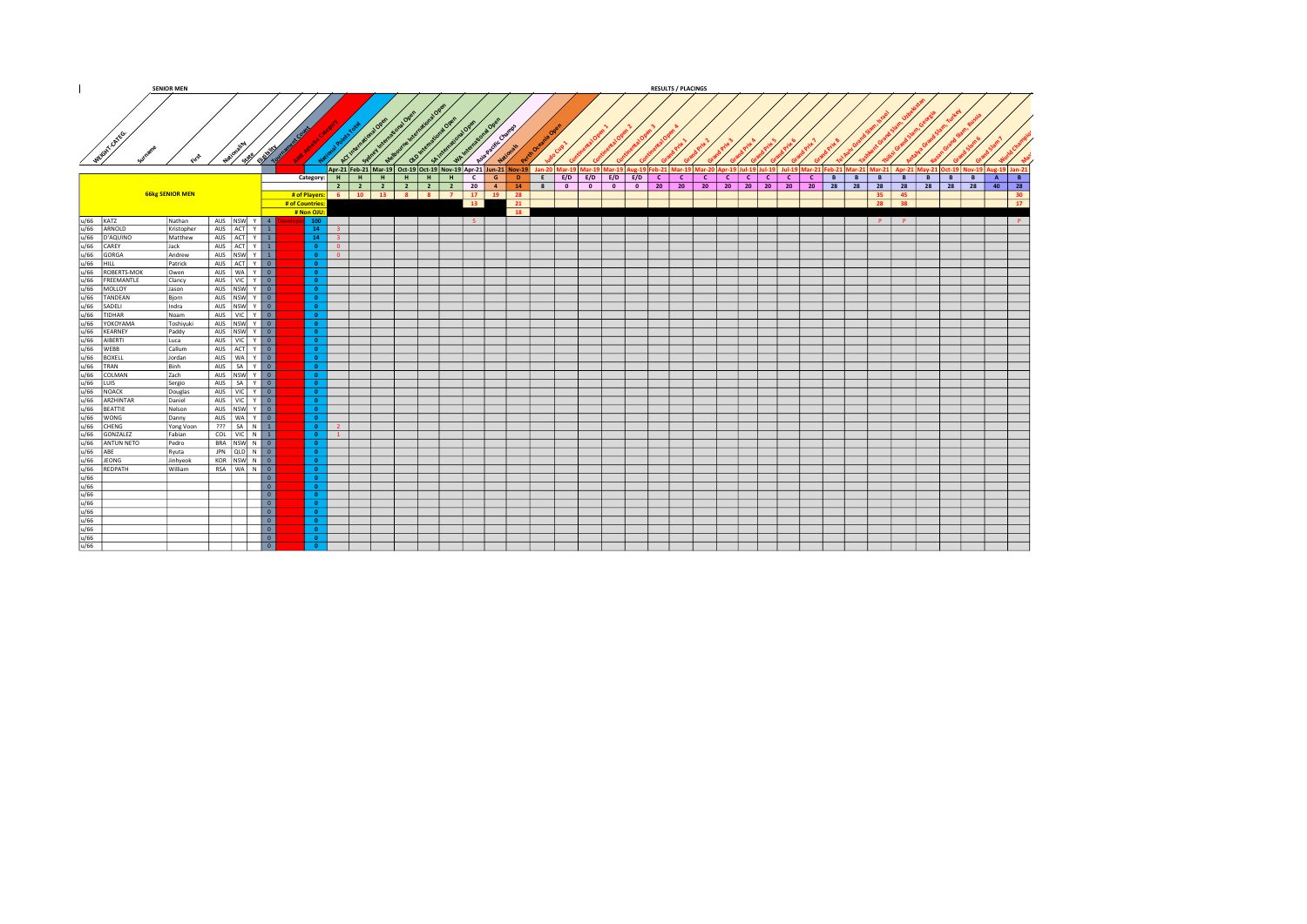|                                                                                                                                                                                                                                                                                                                                                                                                                        | <b>SENIOR MEN</b>      |                                    |                          |                 |                                               |                 |                                  |                                                                |                                   |                                   |              |                            |                                    |                          | <b>RESULTS / PLACINGS</b>       |              |              |                                           |                                       |              |              |    |   |         |    |           |                                                                                                  |    |                 |
|------------------------------------------------------------------------------------------------------------------------------------------------------------------------------------------------------------------------------------------------------------------------------------------------------------------------------------------------------------------------------------------------------------------------|------------------------|------------------------------------|--------------------------|-----------------|-----------------------------------------------|-----------------|----------------------------------|----------------------------------------------------------------|-----------------------------------|-----------------------------------|--------------|----------------------------|------------------------------------|--------------------------|---------------------------------|--------------|--------------|-------------------------------------------|---------------------------------------|--------------|--------------|----|---|---------|----|-----------|--------------------------------------------------------------------------------------------------|----|-----------------|
|                                                                                                                                                                                                                                                                                                                                                                                                                        |                        |                                    |                          |                 |                                               |                 |                                  |                                                                | <b>Tal Open</b><br><b>221 Ope</b> | <b>Longlope</b>                   |              |                            |                                    |                          |                                 |              |              |                                           |                                       |              |              |    |   |         |    |           |                                                                                                  |    |                 |
| WEIGHT CATEGO.                                                                                                                                                                                                                                                                                                                                                                                                         |                        | می<br>مرکزه<br>$\leftrightarrow$   | Eligibility              |                 |                                               | $\sim$          |                                  | $5p^{1/2}$<br>൞                                                | $\eta_{\mu}$                      | Asia Pacific Chan                 |              |                            |                                    |                          |                                 |              |              |                                           |                                       |              |              |    |   |         |    |           |                                                                                                  |    |                 |
|                                                                                                                                                                                                                                                                                                                                                                                                                        |                        |                                    |                          |                 |                                               |                 |                                  | Apr-21 Feb-21 Mar-19 Oct-19 Oct-19 Nov-19 Apr-21 Jun-21 Nov-19 |                                   |                                   |              |                            | Jan-20 Mar-19 Mar-19 Mar-19 Aug-19 |                          |                                 |              |              | Feb-21 Mar-19 Mar-20 Apr-19 Jul-19 Jul-19 |                                       |              |              |    |   |         |    |           | Jul-19   Mar-21   Feb-21   Mar-21   Mar-21   Apr-21   May-21   Oct-19   Nov-19   Aug-19   Jan-21 |    |                 |
|                                                                                                                                                                                                                                                                                                                                                                                                                        |                        |                                    |                          | Category:       |                                               | $H$ $H$         | -н 1<br>H                        | $H$ $H$                                                        |                                   | c l<br>G                          | $\mathbf{D}$ |                            | $E$ $E/D$ $E/D$ $E/D$ $E/D$        |                          | $\lfloor$ C $\lfloor$           | $\mathbf{C}$ | $\mathsf{C}$ | $\mathbf{C}$                              | $\lfloor$ C $\rfloor$<br>$\mathsf{c}$ | $\mathsf{C}$ | $\mathsf{C}$ | B  | B | B       | B  | B         | B<br>B                                                                                           | A  | B               |
|                                                                                                                                                                                                                                                                                                                                                                                                                        |                        |                                    |                          |                 |                                               | $2 \mid 2 \mid$ | $\overline{2}$<br>$\overline{2}$ |                                                                |                                   | $\overline{20}$<br>4 <sup>1</sup> | 14           | $\overline{\phantom{a}}$ 8 | $\overline{\phantom{0}}$           | $\overline{\phantom{0}}$ | $\overline{20}$ $\overline{20}$ |              | $20 \t 20$   |                                           | $20 \mid 20 \mid 20$                  |              | 20           | 28 |   | 28 28   | 28 | $28$ $28$ | 28                                                                                               | 40 | 28              |
|                                                                                                                                                                                                                                                                                                                                                                                                                        | <b>66kg SENIOR MEN</b> |                                    |                          | # of Players:   |                                               | $6 \quad 10$    |                                  | 13 8 8 7                                                       |                                   | $17$ 19                           | 28           |                            |                                    |                          |                                 |              |              |                                           |                                       |              |              |    |   | 35      | 45 |           |                                                                                                  |    | 30 <sub>2</sub> |
|                                                                                                                                                                                                                                                                                                                                                                                                                        |                        |                                    |                          | # of Countries: |                                               |                 |                                  |                                                                |                                   | 13                                | 21           |                            |                                    |                          |                                 |              |              |                                           |                                       |              |              |    |   | 28      | 38 |           |                                                                                                  |    | 17 <sup>2</sup> |
|                                                                                                                                                                                                                                                                                                                                                                                                                        | Nathan                 | AUS NSW Y 4                        |                          | # Non OJU:      |                                               |                 |                                  |                                                                |                                   |                                   | 18           |                            |                                    |                          |                                 |              |              |                                           |                                       |              |              |    |   | $P$ $P$ |    |           |                                                                                                  |    |                 |
|                                                                                                                                                                                                                                                                                                                                                                                                                        |                        | AUS ACT Y 1                        |                          | $\vert$ 100     | $14-14$<br>$-3$                               |                 |                                  |                                                                |                                   | $-5$                              |              |                            |                                    |                          |                                 |              |              |                                           |                                       |              |              |    |   |         |    |           |                                                                                                  |    | P               |
|                                                                                                                                                                                                                                                                                                                                                                                                                        | Kristopher<br>Matthew  | AUS ACT Y 1                        |                          |                 | 14<br>$\overline{\phantom{a}}$ 3              |                 |                                  |                                                                |                                   |                                   |              |                            |                                    |                          |                                 |              |              |                                           |                                       |              |              |    |   |         |    |           |                                                                                                  |    |                 |
|                                                                                                                                                                                                                                                                                                                                                                                                                        | Jack                   | AUS $ ACT Y 1$                     |                          |                 | $\overline{0}$<br>$\overline{0}$              |                 |                                  |                                                                |                                   |                                   |              |                            |                                    |                          |                                 |              |              |                                           |                                       |              |              |    |   |         |    |           |                                                                                                  |    |                 |
|                                                                                                                                                                                                                                                                                                                                                                                                                        | Andrew                 | AUS NSW Y 1                        |                          |                 | $\overline{0}$<br>$\overline{0}$              |                 |                                  |                                                                |                                   |                                   |              |                            |                                    |                          |                                 |              |              |                                           |                                       |              |              |    |   |         |    |           |                                                                                                  |    |                 |
|                                                                                                                                                                                                                                                                                                                                                                                                                        | Patrick                | AUS ACT Y 0                        |                          |                 | $\overline{0}$                                |                 |                                  |                                                                |                                   |                                   |              |                            |                                    |                          |                                 |              |              |                                           |                                       |              |              |    |   |         |    |           |                                                                                                  |    |                 |
|                                                                                                                                                                                                                                                                                                                                                                                                                        | Owen                   | AUS WAY 0                          |                          |                 | $\overline{0}$                                |                 |                                  |                                                                |                                   |                                   |              |                            |                                    |                          |                                 |              |              |                                           |                                       |              |              |    |   |         |    |           |                                                                                                  |    |                 |
|                                                                                                                                                                                                                                                                                                                                                                                                                        | Clancy                 | AUS VIC Y 0                        |                          |                 | $\overline{0}$                                |                 |                                  |                                                                |                                   |                                   |              |                            |                                    |                          |                                 |              |              |                                           |                                       |              |              |    |   |         |    |           |                                                                                                  |    |                 |
|                                                                                                                                                                                                                                                                                                                                                                                                                        | Jason                  | AUS NSW Y 0                        |                          |                 | $\overline{0}$                                |                 |                                  |                                                                |                                   |                                   |              |                            |                                    |                          |                                 |              |              |                                           |                                       |              |              |    |   |         |    |           |                                                                                                  |    |                 |
|                                                                                                                                                                                                                                                                                                                                                                                                                        | Bjorn                  | AUS NSW Y 0                        |                          |                 | $\overline{0}$                                |                 |                                  |                                                                |                                   |                                   |              |                            |                                    |                          |                                 |              |              |                                           |                                       |              |              |    |   |         |    |           |                                                                                                  |    |                 |
|                                                                                                                                                                                                                                                                                                                                                                                                                        | Indra                  | AUS INSW Y 0                       |                          |                 | $\overline{0}$                                |                 |                                  |                                                                |                                   |                                   |              |                            |                                    |                          |                                 |              |              |                                           |                                       |              |              |    |   |         |    |           |                                                                                                  |    |                 |
|                                                                                                                                                                                                                                                                                                                                                                                                                        | Noam                   | AUS VIC Y 0                        |                          |                 | $\bullet$                                     |                 |                                  |                                                                |                                   |                                   |              |                            |                                    |                          |                                 |              |              |                                           |                                       |              |              |    |   |         |    |           |                                                                                                  |    |                 |
|                                                                                                                                                                                                                                                                                                                                                                                                                        | Toshiyuki              | AUS NSW Y 0<br>AUS NSW Y 0         |                          |                 | $\overline{0}$<br>$\overline{0}$              |                 |                                  |                                                                |                                   |                                   |              |                            |                                    |                          |                                 |              |              |                                           |                                       |              |              |    |   |         |    |           |                                                                                                  |    |                 |
|                                                                                                                                                                                                                                                                                                                                                                                                                        | Paddy<br>Luca          | AUS VIC Y 0                        |                          |                 | $\bullet$                                     |                 |                                  |                                                                |                                   |                                   |              |                            |                                    |                          |                                 |              |              |                                           |                                       |              |              |    |   |         |    |           |                                                                                                  |    |                 |
|                                                                                                                                                                                                                                                                                                                                                                                                                        | Callum                 | AUS ACT Y 0                        |                          |                 | $\bullet$                                     |                 |                                  |                                                                |                                   |                                   |              |                            |                                    |                          |                                 |              |              |                                           |                                       |              |              |    |   |         |    |           |                                                                                                  |    |                 |
|                                                                                                                                                                                                                                                                                                                                                                                                                        | Jordan                 | AUS WAY 0                          |                          |                 | $\overline{0}$                                |                 |                                  |                                                                |                                   |                                   |              |                            |                                    |                          |                                 |              |              |                                           |                                       |              |              |    |   |         |    |           |                                                                                                  |    |                 |
|                                                                                                                                                                                                                                                                                                                                                                                                                        | Binh                   | AUS SA Y 0                         |                          |                 | $\Omega$                                      |                 |                                  |                                                                |                                   |                                   |              |                            |                                    |                          |                                 |              |              |                                           |                                       |              |              |    |   |         |    |           |                                                                                                  |    |                 |
|                                                                                                                                                                                                                                                                                                                                                                                                                        | Zach                   | AUS NSW Y 0                        |                          |                 | $\bullet$                                     |                 |                                  |                                                                |                                   |                                   |              |                            |                                    |                          |                                 |              |              |                                           |                                       |              |              |    |   |         |    |           |                                                                                                  |    |                 |
|                                                                                                                                                                                                                                                                                                                                                                                                                        | Sergio                 | AUS   SA   Y   0                   |                          |                 | $\overline{0}$                                |                 |                                  |                                                                |                                   |                                   |              |                            |                                    |                          |                                 |              |              |                                           |                                       |              |              |    |   |         |    |           |                                                                                                  |    |                 |
|                                                                                                                                                                                                                                                                                                                                                                                                                        | Douglas                | AUS VIC Y 0                        |                          |                 |                                               |                 |                                  |                                                                |                                   |                                   |              |                            |                                    |                          |                                 |              |              |                                           |                                       |              |              |    |   |         |    |           |                                                                                                  |    |                 |
|                                                                                                                                                                                                                                                                                                                                                                                                                        | Daniel                 | AUS VIC Y 0                        |                          |                 | $\overline{0}$                                |                 |                                  |                                                                |                                   |                                   |              |                            |                                    |                          |                                 |              |              |                                           |                                       |              |              |    |   |         |    |           |                                                                                                  |    |                 |
|                                                                                                                                                                                                                                                                                                                                                                                                                        | Nelson                 | AUS NSW Y 0                        |                          |                 | $\overline{0}$                                |                 |                                  |                                                                |                                   |                                   |              |                            |                                    |                          |                                 |              |              |                                           |                                       |              |              |    |   |         |    |           |                                                                                                  |    |                 |
|                                                                                                                                                                                                                                                                                                                                                                                                                        | Danny                  | AUS WAY 0                          |                          |                 | $\overline{\mathbf{0}}$                       |                 |                                  |                                                                |                                   |                                   |              |                            |                                    |                          |                                 |              |              |                                           |                                       |              |              |    |   |         |    |           |                                                                                                  |    |                 |
|                                                                                                                                                                                                                                                                                                                                                                                                                        | Yong Voon              | $???$ SA N 1                       |                          |                 | $\bullet$<br>$\overline{2}$<br>$\overline{0}$ |                 |                                  |                                                                |                                   |                                   |              |                            |                                    |                          |                                 |              |              |                                           |                                       |              |              |    |   |         |    |           |                                                                                                  |    |                 |
|                                                                                                                                                                                                                                                                                                                                                                                                                        | Fabian<br>Pedro        | COL   VIC   N   1  <br>BRA NSW N 0 |                          |                 | $\vert 1 \vert$<br>$\bullet$                  |                 |                                  |                                                                |                                   |                                   |              |                            |                                    |                          |                                 |              |              |                                           |                                       |              |              |    |   |         |    |           |                                                                                                  |    |                 |
|                                                                                                                                                                                                                                                                                                                                                                                                                        | Ryuta                  | JPN QLD N 0                        |                          |                 | $\overline{0}$                                |                 |                                  |                                                                |                                   |                                   |              |                            |                                    |                          |                                 |              |              |                                           |                                       |              |              |    |   |         |    |           |                                                                                                  |    |                 |
|                                                                                                                                                                                                                                                                                                                                                                                                                        | Jinhyeok               | KOR NSW N 0                        |                          |                 | $\Omega$                                      |                 |                                  |                                                                |                                   |                                   |              |                            |                                    |                          |                                 |              |              |                                           |                                       |              |              |    |   |         |    |           |                                                                                                  |    |                 |
|                                                                                                                                                                                                                                                                                                                                                                                                                        | William                | RSA WAN 0                          |                          |                 | $\overline{0}$                                |                 |                                  |                                                                |                                   |                                   |              |                            |                                    |                          |                                 |              |              |                                           |                                       |              |              |    |   |         |    |           |                                                                                                  |    |                 |
|                                                                                                                                                                                                                                                                                                                                                                                                                        |                        |                                    | $\overline{\phantom{a}}$ |                 | $\Omega$                                      |                 |                                  |                                                                |                                   |                                   |              |                            |                                    |                          |                                 |              |              |                                           |                                       |              |              |    |   |         |    |           |                                                                                                  |    |                 |
|                                                                                                                                                                                                                                                                                                                                                                                                                        |                        |                                    | 0                        |                 |                                               |                 |                                  |                                                                |                                   |                                   |              |                            |                                    |                          |                                 |              |              |                                           |                                       |              |              |    |   |         |    |           |                                                                                                  |    |                 |
|                                                                                                                                                                                                                                                                                                                                                                                                                        |                        |                                    | 0                        |                 | $\overline{0}$                                |                 |                                  |                                                                |                                   |                                   |              |                            |                                    |                          |                                 |              |              |                                           |                                       |              |              |    |   |         |    |           |                                                                                                  |    |                 |
|                                                                                                                                                                                                                                                                                                                                                                                                                        |                        |                                    | 0                        |                 | $\Omega$                                      |                 |                                  |                                                                |                                   |                                   |              |                            |                                    |                          |                                 |              |              |                                           |                                       |              |              |    |   |         |    |           |                                                                                                  |    |                 |
|                                                                                                                                                                                                                                                                                                                                                                                                                        |                        |                                    | 0                        |                 | $\Omega$                                      |                 |                                  |                                                                |                                   |                                   |              |                            |                                    |                          |                                 |              |              |                                           |                                       |              |              |    |   |         |    |           |                                                                                                  |    |                 |
| $\begin{array}{l} \hline u/\sqrt{66} & \mbox{KATZ} \\ \hline \hline u/\sqrt{66} & \mbox{KARVOD} \\ \hline u/\sqrt{66} & \mbox{D-ARUIMO} \\ \hline u/\sqrt{66} & \mbox{GORGA} \\ \hline u/\sqrt{66} & \mbox{GORGA} \\ \hline u/\sqrt{66} & \mbox{KORBEM} \\ \hline u/\sqrt{66} & \mbox{KORBEM} \\ \hline u/\sqrt{66} & \mbox{KORBEM} \\ \hline u/\sqrt{66} & \mbox{KORBEM} \\ \hline u/\sqrt{66} & \mbox{KORBEM} \\ \h$ |                        |                                    | 0                        |                 | $\mathbf{0}$                                  |                 |                                  |                                                                |                                   |                                   |              |                            |                                    |                          |                                 |              |              |                                           |                                       |              |              |    |   |         |    |           |                                                                                                  |    |                 |
|                                                                                                                                                                                                                                                                                                                                                                                                                        |                        |                                    | $\overline{\phantom{a}}$ |                 | $\overline{0}$                                |                 |                                  |                                                                |                                   |                                   |              |                            |                                    |                          |                                 |              |              |                                           |                                       |              |              |    |   |         |    |           |                                                                                                  |    |                 |
|                                                                                                                                                                                                                                                                                                                                                                                                                        |                        |                                    | 0                        |                 | $\overline{0}$                                |                 |                                  |                                                                |                                   |                                   |              |                            |                                    |                          |                                 |              |              |                                           |                                       |              |              |    |   |         |    |           |                                                                                                  |    |                 |
|                                                                                                                                                                                                                                                                                                                                                                                                                        |                        |                                    | $\overline{\phantom{a}}$ |                 | $\bullet$                                     |                 |                                  |                                                                |                                   |                                   |              |                            |                                    |                          |                                 |              |              |                                           |                                       |              |              |    |   |         |    |           |                                                                                                  |    |                 |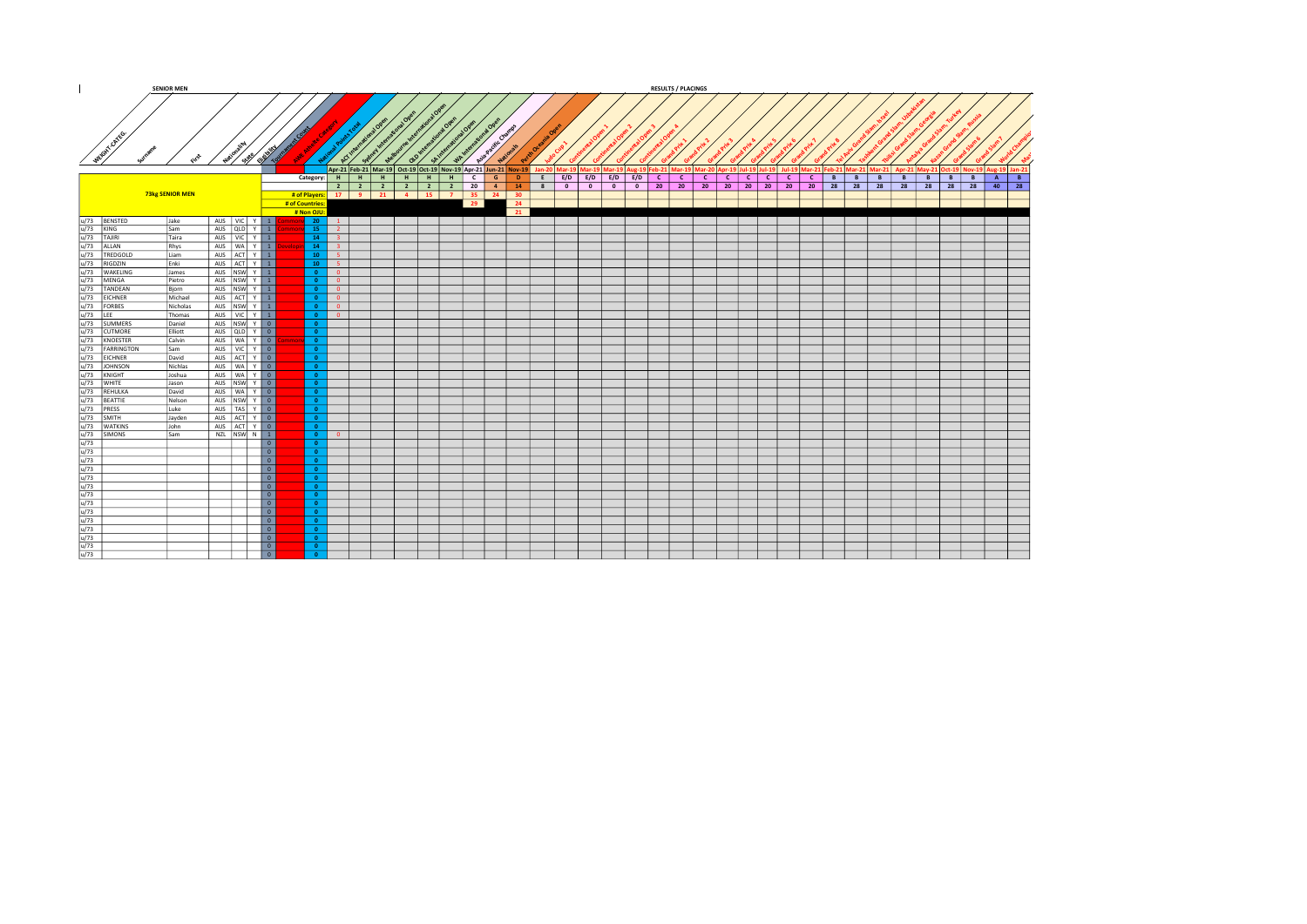|                                                                                                                                                                                                                                                                                                                                                                                                                                            | <b>SENIOR MEN</b> |                                 |                                |                                  |                                     |                         |        |                                                                     |            |                 |                              |             |                   |           |                                                                      | <b>RESULTS / PLACINGS</b> |              |                              |      |              |              |        |          |   |                                                                              |              |
|--------------------------------------------------------------------------------------------------------------------------------------------------------------------------------------------------------------------------------------------------------------------------------------------------------------------------------------------------------------------------------------------------------------------------------------------|-------------------|---------------------------------|--------------------------------|----------------------------------|-------------------------------------|-------------------------|--------|---------------------------------------------------------------------|------------|-----------------|------------------------------|-------------|-------------------|-----------|----------------------------------------------------------------------|---------------------------|--------------|------------------------------|------|--------------|--------------|--------|----------|---|------------------------------------------------------------------------------|--------------|
| WEGAT CATES                                                                                                                                                                                                                                                                                                                                                                                                                                |                   |                                 |                                |                                  |                                     |                         |        |                                                                     |            | $\sqrt{\alpha}$ | <b>HACCHES</b>               |             |                   |           |                                                                      |                           |              |                              |      |              |              |        |          |   |                                                                              |              |
|                                                                                                                                                                                                                                                                                                                                                                                                                                            |                   | Nation Sale                     |                                |                                  | ي                                   |                         |        |                                                                     |            |                 |                              |             |                   |           |                                                                      |                           |              |                              |      |              |              |        |          |   |                                                                              |              |
|                                                                                                                                                                                                                                                                                                                                                                                                                                            |                   |                                 | <b>REA</b>                     |                                  |                                     | GN°                     |        | ്<br>Apr-21 Feb-21 Mar-19 Oct-19 Oct-19 Nov-19 Apr-21 Jun-21 Nov-19 | جما        |                 |                              |             |                   |           | an-20   Mar-19   Mar-19   Mar-19   Aug-19   Feb-21   Mar-19   Mar-21 |                           |              |                              |      |              |              |        |          |   | Jul-19 Mar-21 Feb-21 Mar-21 Mar-21 Apr-21 May-21 Oct-19 Nov-19 Aug-19 Jan-21 |              |
|                                                                                                                                                                                                                                                                                                                                                                                                                                            |                   |                                 |                                | Category: H                      |                                     | H                       | -н - 1 | H<br>H                                                              | H          | c l             | $\mathsf{G}$<br>$\mathbf{D}$ | $E$ $E/D$   | $E/D$ $E/D$ $E/D$ |           | $\lfloor$ c $\lfloor$                                                | $\mathbf{C}$              | $\mathbf{C}$ | $\mathbf{C}$<br>$\mathsf{C}$ | -c l | $\mathbf{C}$ | $\mathbf{C}$ | B<br>B | B<br>B   | B | B<br>B                                                                       | A<br>B       |
|                                                                                                                                                                                                                                                                                                                                                                                                                                            |                   |                                 |                                |                                  |                                     |                         |        |                                                                     | $2 \mid 2$ | 20              | $-4$<br>14                   | $8 \quad 0$ | 0                 | $\circ$ 0 |                                                                      | 20 20                     | 20           | 20 20 20 20                  |      |              |              | 20 28  | 28 28 28 |   | 28 28 28                                                                     | $40 \mid 28$ |
|                                                                                                                                                                                                                                                                                                                                                                                                                                            | 73kg SENIOR MEN   |                                 |                                |                                  |                                     | # of Players: 17 9 21 4 |        |                                                                     | $15$ $7$   | 35 24           | 30 <sup>°</sup>              |             |                   |           |                                                                      |                           |              |                              |      |              |              |        |          |   |                                                                              |              |
|                                                                                                                                                                                                                                                                                                                                                                                                                                            |                   |                                 |                                | # of Countries                   |                                     |                         |        |                                                                     |            | 29              | 24                           |             |                   |           |                                                                      |                           |              |                              |      |              |              |        |          |   |                                                                              |              |
|                                                                                                                                                                                                                                                                                                                                                                                                                                            | Jake              | AUS VIC Y 1                     |                                | # Non OJU:<br>nv 20 l            | $\frac{1}{1}$                       |                         |        |                                                                     |            |                 | 21                           |             |                   |           |                                                                      |                           |              |                              |      |              |              |        |          |   |                                                                              |              |
| u/73 BENSTED<br>u/73 KING                                                                                                                                                                                                                                                                                                                                                                                                                  | Isam              | AUS QLD Y 1                     |                                | 15                               | $\overline{2}$                      |                         |        |                                                                     |            |                 |                              |             |                   |           |                                                                      |                           |              |                              |      |              |              |        |          |   |                                                                              |              |
|                                                                                                                                                                                                                                                                                                                                                                                                                                            | <b>Taira</b>      | AUS   VIC   Y   1               |                                | 14                               | $\overline{3}$                      |                         |        |                                                                     |            |                 |                              |             |                   |           |                                                                      |                           |              |                              |      |              |              |        |          |   |                                                                              |              |
| $\begin{array}{l l l} \hline u/3 & \text{TMB} & \text{TMB} \\ \hline u/73 & \text{TMB} & \text{MIM} \\ \hline u/73 & \text{REDCOLD} \\ \hline u/73 & \text{MEEOOLD} \\ \hline u/73 & \text{MEKGOAD} \\ \hline u/73 & \text{MEKVA} \\ \hline u/73 & \text{WAKLING} \\ \hline u/73 & \text{VANELING} \\ \hline u/73 & \text{TANDEAN} \\ \hline u/73 & \text{RINDESM} \\ \hline u/73 & \text{RINDESTER} \\ \hline u/73 & \text{SUMMERS} \\ \$ | Rhys              | AUS   WA   Y   1                |                                | 14                               | $-3$                                |                         |        |                                                                     |            |                 |                              |             |                   |           |                                                                      |                           |              |                              |      |              |              |        |          |   |                                                                              |              |
|                                                                                                                                                                                                                                                                                                                                                                                                                                            | Liam              | AUS ACT Y 1                     |                                | $10-1$                           | $-5$                                |                         |        |                                                                     |            |                 |                              |             |                   |           |                                                                      |                           |              |                              |      |              |              |        |          |   |                                                                              |              |
|                                                                                                                                                                                                                                                                                                                                                                                                                                            | Enki              | AUS ACT Y 1                     |                                | $10-10$                          | $-5$                                |                         |        |                                                                     |            |                 |                              |             |                   |           |                                                                      |                           |              |                              |      |              |              |        |          |   |                                                                              |              |
|                                                                                                                                                                                                                                                                                                                                                                                                                                            | James             | AUS NSW Y 1                     |                                | $\overline{0}$                   | $\overline{0}$                      |                         |        |                                                                     |            |                 |                              |             |                   |           |                                                                      |                           |              |                              |      |              |              |        |          |   |                                                                              |              |
|                                                                                                                                                                                                                                                                                                                                                                                                                                            | Pietro<br>Bjorn   | AUS NSW Y 1<br>AUS NSW Y 1      |                                | $\overline{0}$<br>$\overline{0}$ | $\Omega$<br>$\overline{\mathbf{0}}$ |                         |        |                                                                     |            |                 |                              |             |                   |           |                                                                      |                           |              |                              |      |              |              |        |          |   |                                                                              |              |
|                                                                                                                                                                                                                                                                                                                                                                                                                                            | Michael           | AUS ACT Y 1                     |                                | $\bullet$                        | $\overline{0}$                      |                         |        |                                                                     |            |                 |                              |             |                   |           |                                                                      |                           |              |                              |      |              |              |        |          |   |                                                                              |              |
|                                                                                                                                                                                                                                                                                                                                                                                                                                            | Nicholas          | AUS INSW Y 1                    |                                | $\overline{0}$                   | $\Omega$                            |                         |        |                                                                     |            |                 |                              |             |                   |           |                                                                      |                           |              |                              |      |              |              |        |          |   |                                                                              |              |
|                                                                                                                                                                                                                                                                                                                                                                                                                                            | Thomas            | AUS VIC Y 1                     |                                | $\overline{0}$                   | $\Omega$                            |                         |        |                                                                     |            |                 |                              |             |                   |           |                                                                      |                           |              |                              |      |              |              |        |          |   |                                                                              |              |
|                                                                                                                                                                                                                                                                                                                                                                                                                                            | Daniel            | AUS NSW Y 0                     |                                | $\bullet$                        |                                     |                         |        |                                                                     |            |                 |                              |             |                   |           |                                                                      |                           |              |                              |      |              |              |        |          |   |                                                                              |              |
|                                                                                                                                                                                                                                                                                                                                                                                                                                            | Elliott           | AUS QLD Y 0                     |                                | $\bullet$                        |                                     |                         |        |                                                                     |            |                 |                              |             |                   |           |                                                                      |                           |              |                              |      |              |              |        |          |   |                                                                              |              |
|                                                                                                                                                                                                                                                                                                                                                                                                                                            | Calvin            | AUS WAY 0                       |                                | $\bullet$                        |                                     |                         |        |                                                                     |            |                 |                              |             |                   |           |                                                                      |                           |              |                              |      |              |              |        |          |   |                                                                              |              |
| FARRINGTON                                                                                                                                                                                                                                                                                                                                                                                                                                 | Sam               | AUS VIC Y 0                     |                                | $\bullet$                        |                                     |                         |        |                                                                     |            |                 |                              |             |                   |           |                                                                      |                           |              |                              |      |              |              |        |          |   |                                                                              |              |
|                                                                                                                                                                                                                                                                                                                                                                                                                                            | David<br>Nichlas  | AUS ACT Y 0<br>AUS   WA   Y   0 |                                | $\bullet$<br>$\bullet$           |                                     |                         |        |                                                                     |            |                 |                              |             |                   |           |                                                                      |                           |              |                              |      |              |              |        |          |   |                                                                              |              |
|                                                                                                                                                                                                                                                                                                                                                                                                                                            | Joshua            | AUS   WA   Y   0                |                                | $\bullet$                        |                                     |                         |        |                                                                     |            |                 |                              |             |                   |           |                                                                      |                           |              |                              |      |              |              |        |          |   |                                                                              |              |
|                                                                                                                                                                                                                                                                                                                                                                                                                                            | Jason             | AUS NSW Y 0                     |                                | $\overline{0}$                   |                                     |                         |        |                                                                     |            |                 |                              |             |                   |           |                                                                      |                           |              |                              |      |              |              |        |          |   |                                                                              |              |
|                                                                                                                                                                                                                                                                                                                                                                                                                                            | David             | AUS   WA   Y   0                |                                | $\bullet$                        |                                     |                         |        |                                                                     |            |                 |                              |             |                   |           |                                                                      |                           |              |                              |      |              |              |        |          |   |                                                                              |              |
|                                                                                                                                                                                                                                                                                                                                                                                                                                            | Nelson            | AUS NSW Y 0                     |                                | $\bullet$                        |                                     |                         |        |                                                                     |            |                 |                              |             |                   |           |                                                                      |                           |              |                              |      |              |              |        |          |   |                                                                              |              |
|                                                                                                                                                                                                                                                                                                                                                                                                                                            | Luke              | AUS   TAS   Y   0               |                                | $\bullet$                        |                                     |                         |        |                                                                     |            |                 |                              |             |                   |           |                                                                      |                           |              |                              |      |              |              |        |          |   |                                                                              |              |
|                                                                                                                                                                                                                                                                                                                                                                                                                                            | Jayden            | AUS ACT Y 0                     |                                | $\overline{0}$                   |                                     |                         |        |                                                                     |            |                 |                              |             |                   |           |                                                                      |                           |              |                              |      |              |              |        |          |   |                                                                              |              |
|                                                                                                                                                                                                                                                                                                                                                                                                                                            | John              | AUS ACT Y 0                     |                                | $\bullet$                        |                                     |                         |        |                                                                     |            |                 |                              |             |                   |           |                                                                      |                           |              |                              |      |              |              |        |          |   |                                                                              |              |
|                                                                                                                                                                                                                                                                                                                                                                                                                                            | Isam              | $NZL$ $NSW$ $N$ $1$             | $\overline{\phantom{a}}$       | $\overline{0}$                   | $\sqrt{2}$                          |                         |        |                                                                     |            |                 |                              |             |                   |           |                                                                      |                           |              |                              |      |              |              |        |          |   |                                                                              |              |
|                                                                                                                                                                                                                                                                                                                                                                                                                                            |                   |                                 | 0                              | $\bullet$                        |                                     |                         |        |                                                                     |            |                 |                              |             |                   |           |                                                                      |                           |              |                              |      |              |              |        |          |   |                                                                              |              |
|                                                                                                                                                                                                                                                                                                                                                                                                                                            |                   |                                 | 0                              |                                  |                                     |                         |        |                                                                     |            |                 |                              |             |                   |           |                                                                      |                           |              |                              |      |              |              |        |          |   |                                                                              |              |
|                                                                                                                                                                                                                                                                                                                                                                                                                                            |                   |                                 | $\overline{\phantom{a}}$       | $\overline{0}$                   |                                     |                         |        |                                                                     |            |                 |                              |             |                   |           |                                                                      |                           |              |                              |      |              |              |        |          |   |                                                                              |              |
|                                                                                                                                                                                                                                                                                                                                                                                                                                            |                   |                                 | $\overline{\phantom{a}}$       | $\bullet$                        |                                     |                         |        |                                                                     |            |                 |                              |             |                   |           |                                                                      |                           |              |                              |      |              |              |        |          |   |                                                                              |              |
|                                                                                                                                                                                                                                                                                                                                                                                                                                            |                   |                                 | $\overline{\phantom{a}}$       | $\bullet$                        |                                     |                         |        |                                                                     |            |                 |                              |             |                   |           |                                                                      |                           |              |                              |      |              |              |        |          |   |                                                                              |              |
|                                                                                                                                                                                                                                                                                                                                                                                                                                            |                   |                                 | $\boxed{0}$                    | $\bullet$                        |                                     |                         |        |                                                                     |            |                 |                              |             |                   |           |                                                                      |                           |              |                              |      |              |              |        |          |   |                                                                              |              |
|                                                                                                                                                                                                                                                                                                                                                                                                                                            |                   |                                 | $\boxed{0}$                    | $\bullet$                        |                                     |                         |        |                                                                     |            |                 |                              |             |                   |           |                                                                      |                           |              |                              |      |              |              |        |          |   |                                                                              |              |
|                                                                                                                                                                                                                                                                                                                                                                                                                                            |                   |                                 | $\overline{\phantom{a}}$       | $\bullet$                        |                                     |                         |        |                                                                     |            |                 |                              |             |                   |           |                                                                      |                           |              |                              |      |              |              |        |          |   |                                                                              |              |
|                                                                                                                                                                                                                                                                                                                                                                                                                                            |                   |                                 | $\overline{\phantom{a}}$       | $\bullet$<br>$\bullet$           |                                     |                         |        |                                                                     |            |                 |                              |             |                   |           |                                                                      |                           |              |                              |      |              |              |        |          |   |                                                                              |              |
|                                                                                                                                                                                                                                                                                                                                                                                                                                            |                   |                                 | 0 <br>$\overline{\phantom{a}}$ | $\overline{0}$                   |                                     |                         |        |                                                                     |            |                 |                              |             |                   |           |                                                                      |                           |              |                              |      |              |              |        |          |   |                                                                              |              |
|                                                                                                                                                                                                                                                                                                                                                                                                                                            |                   |                                 | $\overline{\phantom{a}}$       | $\bullet$                        |                                     |                         |        |                                                                     |            |                 |                              |             |                   |           |                                                                      |                           |              |                              |      |              |              |        |          |   |                                                                              |              |
|                                                                                                                                                                                                                                                                                                                                                                                                                                            |                   |                                 | 0                              | $\Omega$                         |                                     |                         |        |                                                                     |            |                 |                              |             |                   |           |                                                                      |                           |              |                              |      |              |              |        |          |   |                                                                              |              |
|                                                                                                                                                                                                                                                                                                                                                                                                                                            |                   |                                 |                                |                                  |                                     |                         |        |                                                                     |            |                 |                              |             |                   |           |                                                                      |                           |              |                              |      |              |              |        |          |   |                                                                              |              |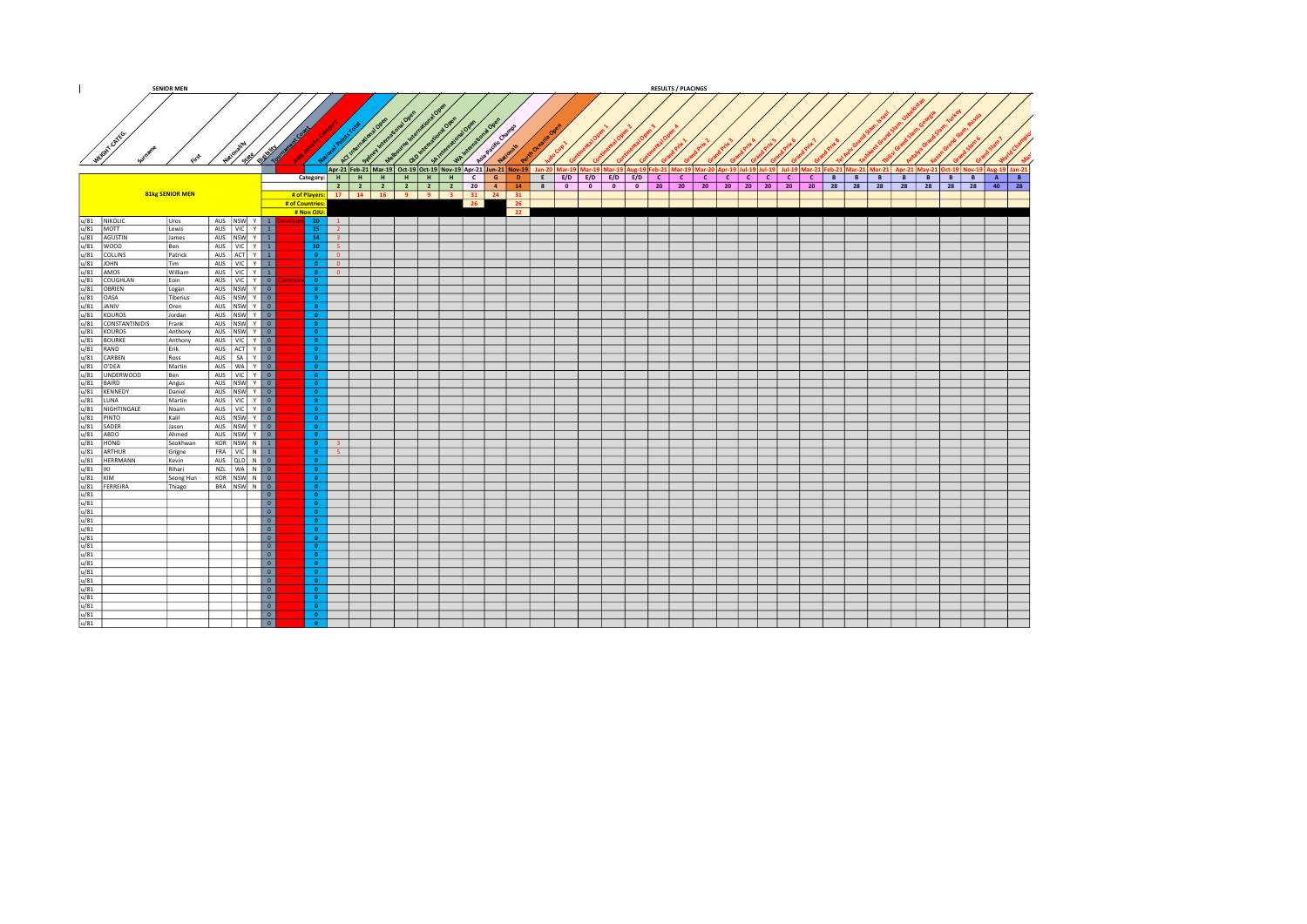|                     |                                                                                                                                                                                                                                                                                                                                                                                                                 | <b>SENIOR MEN</b> |                                        |                                         |                                        |                            |                          |    |      |                                                                        |             |                            |  |                       | <b>RESULTS / PLACINGS</b> |         |              |                 |              |                       |        |   |          |         |              |                                                                                                                                                                                                                                |
|---------------------|-----------------------------------------------------------------------------------------------------------------------------------------------------------------------------------------------------------------------------------------------------------------------------------------------------------------------------------------------------------------------------------------------------------------|-------------------|----------------------------------------|-----------------------------------------|----------------------------------------|----------------------------|--------------------------|----|------|------------------------------------------------------------------------|-------------|----------------------------|--|-----------------------|---------------------------|---------|--------------|-----------------|--------------|-----------------------|--------|---|----------|---------|--------------|--------------------------------------------------------------------------------------------------------------------------------------------------------------------------------------------------------------------------------|
|                     |                                                                                                                                                                                                                                                                                                                                                                                                                 |                   |                                        |                                         |                                        |                            |                          |    |      |                                                                        |             |                            |  |                       |                           |         |              |                 |              |                       |        |   |          |         |              |                                                                                                                                                                                                                                |
| WEGINT ON YOU       |                                                                                                                                                                                                                                                                                                                                                                                                                 |                   | National State City                    |                                         |                                        | $\boldsymbol{\mathcal{L}}$ | $5^{\circ}$              | ಷ್ | SPIR | WAIN<br>Apr-21 Feb-21 Mar-19 Oct-19 Oct-19 Nov-19 Apr-21 Jun-21 Nov-19 |             | Asia Pacific Champs        |  |                       |                           |         |              |                 |              |                       |        |   |          |         |              | Jan-20   Mar-19   Mar-19   Mar-19   Aug-19   Feb-21   Mar-19   Mar-20   Apr-19   Jul-19   Jul-19   Jul-19   Mar-21   Feb-21   Mar-21   Mar-21   May-21   May-21   May-21   May-21   May-21   May-21   May-21   May-21   May-21 |
|                     |                                                                                                                                                                                                                                                                                                                                                                                                                 |                   |                                        |                                         | Category: H                            |                            | -н  <br>H                | H  | H    | $-$ H $-$                                                              | $C$ $G$     | $\mathbf{D}$               |  | E E/D E/D E/D E/D C C |                           | $\ c\ $ | $\mathbf{C}$ | $c \mid c \mid$ | $\mathsf{C}$ | $\lfloor$ c $\lfloor$ | B<br>B | B | B        | - B - I | - B - I<br>B | A<br>B                                                                                                                                                                                                                         |
|                     |                                                                                                                                                                                                                                                                                                                                                                                                                 | 81kg SENIOR MEN   |                                        |                                         | # of Countries:                        |                            | $2 \mid 2 \mid 2 \mid 2$ |    |      | $2 \mid 2$<br># of Players: 17   14   16   9   9   3   31   24   31    | 20<br>$-26$ | 4 14 8 0 0 0 0 20 20<br>26 |  |                       |                           | 20      | 20 20 20 20  |                 |              | $20 \mid 28 \mid$     |        |   | 28 28 28 |         | 28 28 28     | $40$ 28                                                                                                                                                                                                                        |
|                     |                                                                                                                                                                                                                                                                                                                                                                                                                 |                   |                                        |                                         | # Non OJU                              |                            |                          |    |      |                                                                        |             | 22                         |  |                       |                           |         |              |                 |              |                       |        |   |          |         |              |                                                                                                                                                                                                                                |
| u/81 NIKOLIC        |                                                                                                                                                                                                                                                                                                                                                                                                                 | Uros              | AUS NSW Y 1                            |                                         | $\sin$ 20                              | 1                          |                          |    |      |                                                                        |             |                            |  |                       |                           |         |              |                 |              |                       |        |   |          |         |              |                                                                                                                                                                                                                                |
| $u/81$ MOTT         |                                                                                                                                                                                                                                                                                                                                                                                                                 | Lewis<br>James    | AUS VIC Y 1<br>AUS NSW Y 1             |                                         | $15 -$<br>14                           | $\overline{2}$<br>$-3$     |                          |    |      |                                                                        |             |                            |  |                       |                           |         |              |                 |              |                       |        |   |          |         |              |                                                                                                                                                                                                                                |
|                     |                                                                                                                                                                                                                                                                                                                                                                                                                 | Ben               | AUS VIC Y 1                            |                                         | $10-10$                                | $-5$                       |                          |    |      |                                                                        |             |                            |  |                       |                           |         |              |                 |              |                       |        |   |          |         |              |                                                                                                                                                                                                                                |
|                     |                                                                                                                                                                                                                                                                                                                                                                                                                 | Patrick           | AUS ACT Y 1                            |                                         | $\bullet$                              | - 0                        |                          |    |      |                                                                        |             |                            |  |                       |                           |         |              |                 |              |                       |        |   |          |         |              |                                                                                                                                                                                                                                |
|                     | $\begin{array}{l ll} \hline u/81 & \mbox{AGUSITN} \\ \hline u/81 & \mbox{AGUSITN} \\ \hline u/81 & \mbox{Coulms} \\ \hline u/81 & \mbox{Coulms} \\ \hline u/81 & \mbox{Coulms} \\ \hline u/81 & \mbox{Coulms} \\ \hline u/81 & \mbox{Coulms} \\ \hline u/81 & \mbox{AMOSM} \\ \hline u/81 & \mbox{AOMOS} \\ \hline u/81 & \mbox{AOMOS} \\ \hline u/81 & \mbox{AOMOS} \\ \hline u/81 & \mbox{AOMOS} \\ \hline u$ | Tim               | AUS VIC Y 1                            |                                         | $\bullet$                              | $\overline{0}$             |                          |    |      |                                                                        |             |                            |  |                       |                           |         |              |                 |              |                       |        |   |          |         |              |                                                                                                                                                                                                                                |
|                     |                                                                                                                                                                                                                                                                                                                                                                                                                 | William<br>Eoin   | AUS   VIC   Y   1<br>AUS   VIC   Y   0 |                                         | $\bullet$<br>$\bullet$                 | $\overline{0}$             |                          |    |      |                                                                        |             |                            |  |                       |                           |         |              |                 |              |                       |        |   |          |         |              |                                                                                                                                                                                                                                |
|                     |                                                                                                                                                                                                                                                                                                                                                                                                                 | Logan             | AUS NSW Y 0                            |                                         | $\bullet$                              |                            |                          |    |      |                                                                        |             |                            |  |                       |                           |         |              |                 |              |                       |        |   |          |         |              |                                                                                                                                                                                                                                |
|                     |                                                                                                                                                                                                                                                                                                                                                                                                                 | Tiberius          | AUS NSW Y 0                            |                                         | $\bullet$                              |                            |                          |    |      |                                                                        |             |                            |  |                       |                           |         |              |                 |              |                       |        |   |          |         |              |                                                                                                                                                                                                                                |
|                     |                                                                                                                                                                                                                                                                                                                                                                                                                 | Oren              | AUS NSW Y 0                            |                                         | $\bullet$                              |                            |                          |    |      |                                                                        |             |                            |  |                       |                           |         |              |                 |              |                       |        |   |          |         |              |                                                                                                                                                                                                                                |
|                     |                                                                                                                                                                                                                                                                                                                                                                                                                 | Jordan<br>Frank   | AUS NSW Y 0<br>AUS NSW Y 0             |                                         | $\overline{\bullet}$<br>$\bullet$      |                            |                          |    |      |                                                                        |             |                            |  |                       |                           |         |              |                 |              |                       |        |   |          |         |              |                                                                                                                                                                                                                                |
|                     |                                                                                                                                                                                                                                                                                                                                                                                                                 | Anthony           | AUS NSW Y 0                            |                                         | $\bullet$                              |                            |                          |    |      |                                                                        |             |                            |  |                       |                           |         |              |                 |              |                       |        |   |          |         |              |                                                                                                                                                                                                                                |
|                     |                                                                                                                                                                                                                                                                                                                                                                                                                 | Anthony           | AUS VIC Y 0                            |                                         | $\bullet$                              |                            |                          |    |      |                                                                        |             |                            |  |                       |                           |         |              |                 |              |                       |        |   |          |         |              |                                                                                                                                                                                                                                |
|                     |                                                                                                                                                                                                                                                                                                                                                                                                                 | Erik              | AUS ACT Y 0                            |                                         | $\bullet$                              |                            |                          |    |      |                                                                        |             |                            |  |                       |                           |         |              |                 |              |                       |        |   |          |         |              |                                                                                                                                                                                                                                |
|                     |                                                                                                                                                                                                                                                                                                                                                                                                                 | Ross              | AUS   SA   Y   0                       |                                         | $\bullet$                              |                            |                          |    |      |                                                                        |             |                            |  |                       |                           |         |              |                 |              |                       |        |   |          |         |              |                                                                                                                                                                                                                                |
|                     |                                                                                                                                                                                                                                                                                                                                                                                                                 | Martin<br>Ben     | AUS WAY 0<br>AUS   VIC   Y   0         |                                         | $\overline{0}$<br>$\bullet$            |                            |                          |    |      |                                                                        |             |                            |  |                       |                           |         |              |                 |              |                       |        |   |          |         |              |                                                                                                                                                                                                                                |
|                     |                                                                                                                                                                                                                                                                                                                                                                                                                 | Angus             | AUS NSW Y 0                            |                                         | $\bullet$                              |                            |                          |    |      |                                                                        |             |                            |  |                       |                           |         |              |                 |              |                       |        |   |          |         |              |                                                                                                                                                                                                                                |
|                     |                                                                                                                                                                                                                                                                                                                                                                                                                 | Daniel            | AUS NSW Y 0                            |                                         | $\bullet$                              |                            |                          |    |      |                                                                        |             |                            |  |                       |                           |         |              |                 |              |                       |        |   |          |         |              |                                                                                                                                                                                                                                |
|                     |                                                                                                                                                                                                                                                                                                                                                                                                                 | Martin            | AUS   VIC   Y   0                      |                                         | $\bullet$                              |                            |                          |    |      |                                                                        |             |                            |  |                       |                           |         |              |                 |              |                       |        |   |          |         |              |                                                                                                                                                                                                                                |
|                     |                                                                                                                                                                                                                                                                                                                                                                                                                 | Noam<br>Kalil     | AUS VIC Y 0<br>AUS NSW Y 0             |                                         | $\overline{\bullet}$<br>$\overline{0}$ |                            |                          |    |      |                                                                        |             |                            |  |                       |                           |         |              |                 |              |                       |        |   |          |         |              |                                                                                                                                                                                                                                |
|                     |                                                                                                                                                                                                                                                                                                                                                                                                                 | Jason             | AUS NSW Y 0                            |                                         | $\bullet$                              |                            |                          |    |      |                                                                        |             |                            |  |                       |                           |         |              |                 |              |                       |        |   |          |         |              |                                                                                                                                                                                                                                |
|                     |                                                                                                                                                                                                                                                                                                                                                                                                                 | Ahmed             | AUS NSW Y 0                            |                                         | $\overline{0}$                         |                            |                          |    |      |                                                                        |             |                            |  |                       |                           |         |              |                 |              |                       |        |   |          |         |              |                                                                                                                                                                                                                                |
|                     |                                                                                                                                                                                                                                                                                                                                                                                                                 | Seokhwan          | KOR NSW N 1                            |                                         | $\bullet$                              | -31                        |                          |    |      |                                                                        |             |                            |  |                       |                           |         |              |                 |              |                       |        |   |          |         |              |                                                                                                                                                                                                                                |
|                     |                                                                                                                                                                                                                                                                                                                                                                                                                 | Grigne            | FRA VIC N 1                            |                                         | $\bullet$                              | 5 <sup>1</sup>             |                          |    |      |                                                                        |             |                            |  |                       |                           |         |              |                 |              |                       |        |   |          |         |              |                                                                                                                                                                                                                                |
|                     |                                                                                                                                                                                                                                                                                                                                                                                                                 | Kevin<br>Rihari   | AUS QLD N 0<br>NZL WAN 0               |                                         | $\bullet$<br>$\overline{0}$            |                            |                          |    |      |                                                                        |             |                            |  |                       |                           |         |              |                 |              |                       |        |   |          |         |              |                                                                                                                                                                                                                                |
|                     |                                                                                                                                                                                                                                                                                                                                                                                                                 | Seong Hun         | KOR NSW N 0                            |                                         | $\bullet$                              |                            |                          |    |      |                                                                        |             |                            |  |                       |                           |         |              |                 |              |                       |        |   |          |         |              |                                                                                                                                                                                                                                |
|                     |                                                                                                                                                                                                                                                                                                                                                                                                                 | Thiago            | BRA NSW N 0                            |                                         | $\bullet$                              |                            |                          |    |      |                                                                        |             |                            |  |                       |                           |         |              |                 |              |                       |        |   |          |         |              |                                                                                                                                                                                                                                |
|                     |                                                                                                                                                                                                                                                                                                                                                                                                                 |                   |                                        | $\overline{\phantom{a}}$                | $\bullet$                              |                            |                          |    |      |                                                                        |             |                            |  |                       |                           |         |              |                 |              |                       |        |   |          |         |              |                                                                                                                                                                                                                                |
|                     |                                                                                                                                                                                                                                                                                                                                                                                                                 |                   |                                        | $\boxed{0}$<br>$\overline{\phantom{a}}$ | $\bullet$<br>$\bullet$                 |                            |                          |    |      |                                                                        |             |                            |  |                       |                           |         |              |                 |              |                       |        |   |          |         |              |                                                                                                                                                                                                                                |
|                     |                                                                                                                                                                                                                                                                                                                                                                                                                 |                   |                                        | $\overline{\phantom{a}}$                | $\bullet$                              |                            |                          |    |      |                                                                        |             |                            |  |                       |                           |         |              |                 |              |                       |        |   |          |         |              |                                                                                                                                                                                                                                |
|                     |                                                                                                                                                                                                                                                                                                                                                                                                                 |                   |                                        | $\overline{\phantom{a}}$                | $\bullet$                              |                            |                          |    |      |                                                                        |             |                            |  |                       |                           |         |              |                 |              |                       |        |   |          |         |              |                                                                                                                                                                                                                                |
|                     |                                                                                                                                                                                                                                                                                                                                                                                                                 |                   |                                        | $\overline{\phantom{a}}$                | $\bullet$                              |                            |                          |    |      |                                                                        |             |                            |  |                       |                           |         |              |                 |              |                       |        |   |          |         |              |                                                                                                                                                                                                                                |
|                     |                                                                                                                                                                                                                                                                                                                                                                                                                 |                   |                                        | $\overline{\phantom{a}}$                | $\bullet$                              |                            |                          |    |      |                                                                        |             |                            |  |                       |                           |         |              |                 |              |                       |        |   |          |         |              |                                                                                                                                                                                                                                |
|                     |                                                                                                                                                                                                                                                                                                                                                                                                                 |                   |                                        | $\overline{\phantom{a}}$<br>$\boxed{0}$ | $\bullet$<br>$\overline{0}$            |                            |                          |    |      |                                                                        |             |                            |  |                       |                           |         |              |                 |              |                       |        |   |          |         |              |                                                                                                                                                                                                                                |
|                     |                                                                                                                                                                                                                                                                                                                                                                                                                 |                   |                                        | $\overline{\phantom{a}}$                | $\overline{0}$                         |                            |                          |    |      |                                                                        |             |                            |  |                       |                           |         |              |                 |              |                       |        |   |          |         |              |                                                                                                                                                                                                                                |
|                     |                                                                                                                                                                                                                                                                                                                                                                                                                 |                   |                                        | $\boxed{\circ}$                         | $\bullet$                              |                            |                          |    |      |                                                                        |             |                            |  |                       |                           |         |              |                 |              |                       |        |   |          |         |              |                                                                                                                                                                                                                                |
|                     |                                                                                                                                                                                                                                                                                                                                                                                                                 |                   |                                        | 0                                       | $\Omega$                               |                            |                          |    |      |                                                                        |             |                            |  |                       |                           |         |              |                 |              |                       |        |   |          |         |              |                                                                                                                                                                                                                                |
|                     |                                                                                                                                                                                                                                                                                                                                                                                                                 |                   |                                        | $\boxed{0}$                             | $\bullet$                              |                            |                          |    |      |                                                                        |             |                            |  |                       |                           |         |              |                 |              |                       |        |   |          |         |              |                                                                                                                                                                                                                                |
|                     |                                                                                                                                                                                                                                                                                                                                                                                                                 |                   |                                        | $\boxed{0}$<br> 0                       | $\bullet$<br>$\bullet$                 |                            |                          |    |      |                                                                        |             |                            |  |                       |                           |         |              |                 |              |                       |        |   |          |         |              |                                                                                                                                                                                                                                |
| $\frac{u/81}{u/81}$ |                                                                                                                                                                                                                                                                                                                                                                                                                 |                   | $\overline{\phantom{a}}$ 0             |                                         | $\overline{0}$                         |                            |                          |    |      |                                                                        |             |                            |  |                       |                           |         |              |                 |              |                       |        |   |          |         |              |                                                                                                                                                                                                                                |
|                     |                                                                                                                                                                                                                                                                                                                                                                                                                 |                   |                                        |                                         |                                        |                            |                          |    |      |                                                                        |             |                            |  |                       |                           |         |              |                 |              |                       |        |   |          |         |              |                                                                                                                                                                                                                                |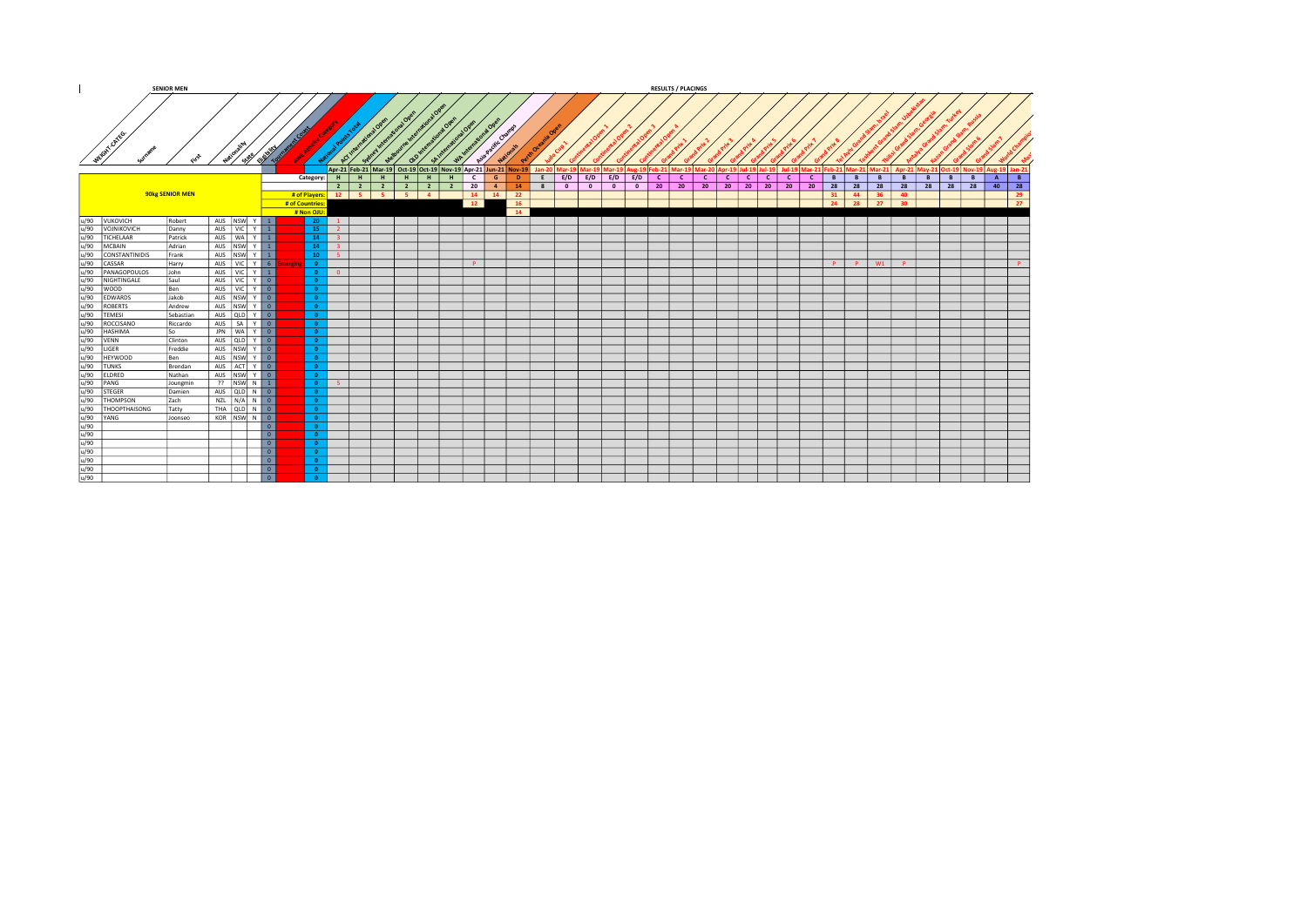|                                                                                                                                                                                                                                                                                                                                                                                                                                   | <b>SENIOR MEN</b> |                   |                   |                          |                 |                                      |                    |                                                                |                 |                |              |                 |   |                          |                          |       |                                                                                                  | <b>RESULTS / PLACINGS</b> |              |              |                                         |              |              |    |          |          |                                                  |          |                                   |                |    |
|-----------------------------------------------------------------------------------------------------------------------------------------------------------------------------------------------------------------------------------------------------------------------------------------------------------------------------------------------------------------------------------------------------------------------------------|-------------------|-------------------|-------------------|--------------------------|-----------------|--------------------------------------|--------------------|----------------------------------------------------------------|-----------------|----------------|--------------|-----------------|---|--------------------------|--------------------------|-------|--------------------------------------------------------------------------------------------------|---------------------------|--------------|--------------|-----------------------------------------|--------------|--------------|----|----------|----------|--------------------------------------------------|----------|-----------------------------------|----------------|----|
| WEIGHT ON BS.                                                                                                                                                                                                                                                                                                                                                                                                                     |                   |                   |                   | Novelle Charles Carried  |                 |                                      |                    |                                                                |                 |                |              | رحيبى           |   |                          |                          |       |                                                                                                  |                           |              |              |                                         |              |              |    |          |          |                                                  |          |                                   |                |    |
|                                                                                                                                                                                                                                                                                                                                                                                                                                   |                   |                   |                   |                          |                 |                                      |                    | Apr-21 Feb-21 Mar-19 Oct-19 Oct-19 Nov-19 Apr-21 Jun-21 Nov-19 |                 |                |              |                 |   |                          |                          |       | Jan-20   Mar-19   Mar-19   Mar-19   Aug-19   Feb-21   Mar-19   Mar-20   Apr-19   Jul-19   Jul-19 |                           |              |              |                                         |              |              |    |          |          | Jul-19 Mar-21 Feb-21 Mar-21 Mar-21 Apr-21 May-21 |          | 1 Oct-19 Nov-19   Aug-19   Jan-21 |                |    |
|                                                                                                                                                                                                                                                                                                                                                                                                                                   |                   |                   |                   |                          | Category:       |                                      | $H$ $H$            | H<br>H                                                         | H               | H              | $\mathsf{C}$ | G<br>D.         | E |                          | $E/D$ $E/D$ $E/D$ $E/D$  |       | c                                                                                                | $\mathbf{C}$              | $\mathbf{C}$ | $\mathbf{C}$ | $\lfloor$ C $\rfloor$<br>$\overline{c}$ | $\mathbf{C}$ | $\mathbf{C}$ | B  | B        | <b>B</b> | B                                                | <b>B</b> | <b>B</b><br>B                     | $\overline{A}$ | B  |
|                                                                                                                                                                                                                                                                                                                                                                                                                                   |                   |                   |                   |                          |                 |                                      | $2 \mid 2 \mid$    | $\overline{2}$                                                 | $2 \mid 2 \mid$ | $\overline{2}$ | 20           | $-4$<br>14      | 8 | $\overline{\phantom{a}}$ | $\overline{\phantom{0}}$ | $0$ 0 |                                                                                                  | $20 \mid 20$              |              | $20 \t 20$   | 20 20 20                                |              | 20 l         | 28 | 28 28    |          | 28                                               |          | 28 28 28                          | $40$ 28        |    |
|                                                                                                                                                                                                                                                                                                                                                                                                                                   | 90kg SENIOR MEN   |                   |                   |                          |                 |                                      | # of Players: 12 5 | $5 \mid 5 \mid 4 \mid$                                         |                 |                | $14$ 14      | 22              |   |                          |                          |       |                                                                                                  |                           |              |              |                                         |              |              | 31 | 44 36    |          | 40                                               |          |                                   |                | 29 |
|                                                                                                                                                                                                                                                                                                                                                                                                                                   |                   |                   |                   |                          | # of Countries: |                                      |                    |                                                                |                 |                | $-12$        | <b>16</b>       |   |                          |                          |       |                                                                                                  |                           |              |              |                                         |              |              | 24 | 28 27    |          | 30 <sup>2</sup>                                  |          |                                   |                | 27 |
|                                                                                                                                                                                                                                                                                                                                                                                                                                   |                   |                   |                   |                          | # Non OJU:      |                                      |                    |                                                                |                 |                |              | $\overline{14}$ |   |                          |                          |       |                                                                                                  |                           |              |              |                                         |              |              |    |          |          |                                                  |          |                                   |                |    |
| u/90 VUKOVICH                                                                                                                                                                                                                                                                                                                                                                                                                     | Robert            | AUS NSW Y 1       |                   |                          | $20 -$          | $\frac{1}{1}$                        |                    |                                                                |                 |                |              |                 |   |                          |                          |       |                                                                                                  |                           |              |              |                                         |              |              |    |          |          |                                                  |          |                                   |                |    |
|                                                                                                                                                                                                                                                                                                                                                                                                                                   | Danny             | AUS VIC Y 1       |                   |                          |                 | $15-1$<br>$\overline{2}$             |                    |                                                                |                 |                |              |                 |   |                          |                          |       |                                                                                                  |                           |              |              |                                         |              |              |    |          |          |                                                  |          |                                   |                |    |
|                                                                                                                                                                                                                                                                                                                                                                                                                                   | Patrick           | AUS   WA   Y   1  |                   |                          |                 | $14-1$<br>$-3$                       |                    |                                                                |                 |                |              |                 |   |                          |                          |       |                                                                                                  |                           |              |              |                                         |              |              |    |          |          |                                                  |          |                                   |                |    |
|                                                                                                                                                                                                                                                                                                                                                                                                                                   | Adrian            | AUS NSW Y 1       |                   |                          |                 | $14 -$<br>$-3$                       |                    |                                                                |                 |                |              |                 |   |                          |                          |       |                                                                                                  |                           |              |              |                                         |              |              |    |          |          |                                                  |          |                                   |                |    |
|                                                                                                                                                                                                                                                                                                                                                                                                                                   | Frank             | AUS NSW Y 1       |                   |                          |                 | $10-1$<br>$-5$                       |                    |                                                                |                 |                |              |                 |   |                          |                          |       |                                                                                                  |                           |              |              |                                         |              |              |    |          |          |                                                  |          |                                   |                |    |
|                                                                                                                                                                                                                                                                                                                                                                                                                                   | Harry             | AUS VIC Y 6       |                   |                          | $\Omega$        |                                      |                    |                                                                |                 |                | P            |                 |   |                          |                          |       |                                                                                                  |                           |              |              |                                         |              |              |    | P P W1 P |          |                                                  |          |                                   |                | P  |
|                                                                                                                                                                                                                                                                                                                                                                                                                                   | John              | AUS VIC Y 1       |                   |                          |                 | $\bullet$<br>$\overline{\mathbf{0}}$ |                    |                                                                |                 |                |              |                 |   |                          |                          |       |                                                                                                  |                           |              |              |                                         |              |              |    |          |          |                                                  |          |                                   |                |    |
|                                                                                                                                                                                                                                                                                                                                                                                                                                   | Saul              | AUS   VIC   Y   0 |                   |                          |                 |                                      |                    |                                                                |                 |                |              |                 |   |                          |                          |       |                                                                                                  |                           |              |              |                                         |              |              |    |          |          |                                                  |          |                                   |                |    |
|                                                                                                                                                                                                                                                                                                                                                                                                                                   | Ben               | AUS VIC Y 0       |                   |                          |                 |                                      |                    |                                                                |                 |                |              |                 |   |                          |                          |       |                                                                                                  |                           |              |              |                                         |              |              |    |          |          |                                                  |          |                                   |                |    |
|                                                                                                                                                                                                                                                                                                                                                                                                                                   | Jakob             | AUS NSW Y 0       |                   |                          |                 |                                      |                    |                                                                |                 |                |              |                 |   |                          |                          |       |                                                                                                  |                           |              |              |                                         |              |              |    |          |          |                                                  |          |                                   |                |    |
|                                                                                                                                                                                                                                                                                                                                                                                                                                   | Andrew            | AUS NSW Y 0       |                   |                          | $\Omega$        |                                      |                    |                                                                |                 |                |              |                 |   |                          |                          |       |                                                                                                  |                           |              |              |                                         |              |              |    |          |          |                                                  |          |                                   |                |    |
|                                                                                                                                                                                                                                                                                                                                                                                                                                   | Sebastian         | AUS QLD Y 0       |                   |                          |                 |                                      |                    |                                                                |                 |                |              |                 |   |                          |                          |       |                                                                                                  |                           |              |              |                                         |              |              |    |          |          |                                                  |          |                                   |                |    |
|                                                                                                                                                                                                                                                                                                                                                                                                                                   | Riccardo          | AUS SA Y 0        |                   |                          |                 |                                      |                    |                                                                |                 |                |              |                 |   |                          |                          |       |                                                                                                  |                           |              |              |                                         |              |              |    |          |          |                                                  |          |                                   |                |    |
|                                                                                                                                                                                                                                                                                                                                                                                                                                   | l So              |                   | JPN WALY <b>O</b> |                          | $\Omega$        |                                      |                    |                                                                |                 |                |              |                 |   |                          |                          |       |                                                                                                  |                           |              |              |                                         |              |              |    |          |          |                                                  |          |                                   |                |    |
|                                                                                                                                                                                                                                                                                                                                                                                                                                   | Clinton           | AUS QLD Y 0       |                   |                          |                 |                                      |                    |                                                                |                 |                |              |                 |   |                          |                          |       |                                                                                                  |                           |              |              |                                         |              |              |    |          |          |                                                  |          |                                   |                |    |
|                                                                                                                                                                                                                                                                                                                                                                                                                                   | Freddie           | AUS NSW Y 0       |                   |                          | $\Omega$        |                                      |                    |                                                                |                 |                |              |                 |   |                          |                          |       |                                                                                                  |                           |              |              |                                         |              |              |    |          |          |                                                  |          |                                   |                |    |
|                                                                                                                                                                                                                                                                                                                                                                                                                                   | Ben               | AUS NSW Y 0       |                   |                          | $\bullet$       |                                      |                    |                                                                |                 |                |              |                 |   |                          |                          |       |                                                                                                  |                           |              |              |                                         |              |              |    |          |          |                                                  |          |                                   |                |    |
|                                                                                                                                                                                                                                                                                                                                                                                                                                   | Brendan           | AUS ACT Y 0       |                   |                          |                 |                                      |                    |                                                                |                 |                |              |                 |   |                          |                          |       |                                                                                                  |                           |              |              |                                         |              |              |    |          |          |                                                  |          |                                   |                |    |
|                                                                                                                                                                                                                                                                                                                                                                                                                                   | Nathan            | AUS NSW Y 0       |                   |                          |                 |                                      |                    |                                                                |                 |                |              |                 |   |                          |                          |       |                                                                                                  |                           |              |              |                                         |              |              |    |          |          |                                                  |          |                                   |                |    |
|                                                                                                                                                                                                                                                                                                                                                                                                                                   | Joungmin          | <b>22 NSW N 1</b> |                   |                          | $\bullet$       | - 5 -                                |                    |                                                                |                 |                |              |                 |   |                          |                          |       |                                                                                                  |                           |              |              |                                         |              |              |    |          |          |                                                  |          |                                   |                |    |
|                                                                                                                                                                                                                                                                                                                                                                                                                                   | Damien            | AUS QLD N 0       |                   |                          |                 |                                      |                    |                                                                |                 |                |              |                 |   |                          |                          |       |                                                                                                  |                           |              |              |                                         |              |              |    |          |          |                                                  |          |                                   |                |    |
|                                                                                                                                                                                                                                                                                                                                                                                                                                   | Zach              | NZL N/A N 0       |                   |                          |                 |                                      |                    |                                                                |                 |                |              |                 |   |                          |                          |       |                                                                                                  |                           |              |              |                                         |              |              |    |          |          |                                                  |          |                                   |                |    |
|                                                                                                                                                                                                                                                                                                                                                                                                                                   | Tatty             |                   |                   |                          | $\Omega$        |                                      |                    |                                                                |                 |                |              |                 |   |                          |                          |       |                                                                                                  |                           |              |              |                                         |              |              |    |          |          |                                                  |          |                                   |                |    |
|                                                                                                                                                                                                                                                                                                                                                                                                                                   | Joonseo           | KOR NSW N 0       |                   |                          | $\Omega$        |                                      |                    |                                                                |                 |                |              |                 |   |                          |                          |       |                                                                                                  |                           |              |              |                                         |              |              |    |          |          |                                                  |          |                                   |                |    |
|                                                                                                                                                                                                                                                                                                                                                                                                                                   |                   |                   |                   |                          |                 |                                      |                    |                                                                |                 |                |              |                 |   |                          |                          |       |                                                                                                  |                           |              |              |                                         |              |              |    |          |          |                                                  |          |                                   |                |    |
|                                                                                                                                                                                                                                                                                                                                                                                                                                   |                   |                   |                   | 0                        |                 |                                      |                    |                                                                |                 |                |              |                 |   |                          |                          |       |                                                                                                  |                           |              |              |                                         |              |              |    |          |          |                                                  |          |                                   |                |    |
|                                                                                                                                                                                                                                                                                                                                                                                                                                   |                   |                   |                   |                          |                 |                                      |                    |                                                                |                 |                |              |                 |   |                          |                          |       |                                                                                                  |                           |              |              |                                         |              |              |    |          |          |                                                  |          |                                   |                |    |
| $\begin{array}{r l} \hline u_2 & \mbox{non-hom} \cr \hline u_3 & \mbox{non-hom} \cr \hline u_4 & \mbox{non-hom} \cr \hline u_5 & \mbox{non-hom} \cr \hline u_6 & \mbox{non-hom} \cr \hline u_7 & \mbox{non-hom} \cr \hline u_7 & \mbox{non-hom} \cr \hline u_7 & \mbox{non-hom} \cr \hline u_7 & \mbox{non-hom} \cr \hline u_7 & \mbox{non-hom} \cr \hline u_7 & \mbox{non-hom} \cr \hline u_7 & \mbox{non-hom} \cr \hline u_8 &$ |                   |                   |                   | $\overline{0}$           |                 |                                      |                    |                                                                |                 |                |              |                 |   |                          |                          |       |                                                                                                  |                           |              |              |                                         |              |              |    |          |          |                                                  |          |                                   |                |    |
|                                                                                                                                                                                                                                                                                                                                                                                                                                   |                   |                   |                   | $\overline{\phantom{0}}$ |                 |                                      |                    |                                                                |                 |                |              |                 |   |                          |                          |       |                                                                                                  |                           |              |              |                                         |              |              |    |          |          |                                                  |          |                                   |                |    |
|                                                                                                                                                                                                                                                                                                                                                                                                                                   |                   |                   |                   |                          |                 |                                      |                    |                                                                |                 |                |              |                 |   |                          |                          |       |                                                                                                  |                           |              |              |                                         |              |              |    |          |          |                                                  |          |                                   |                |    |
|                                                                                                                                                                                                                                                                                                                                                                                                                                   |                   |                   |                   |                          |                 |                                      |                    |                                                                |                 |                |              |                 |   |                          |                          |       |                                                                                                  |                           |              |              |                                         |              |              |    |          |          |                                                  |          |                                   |                |    |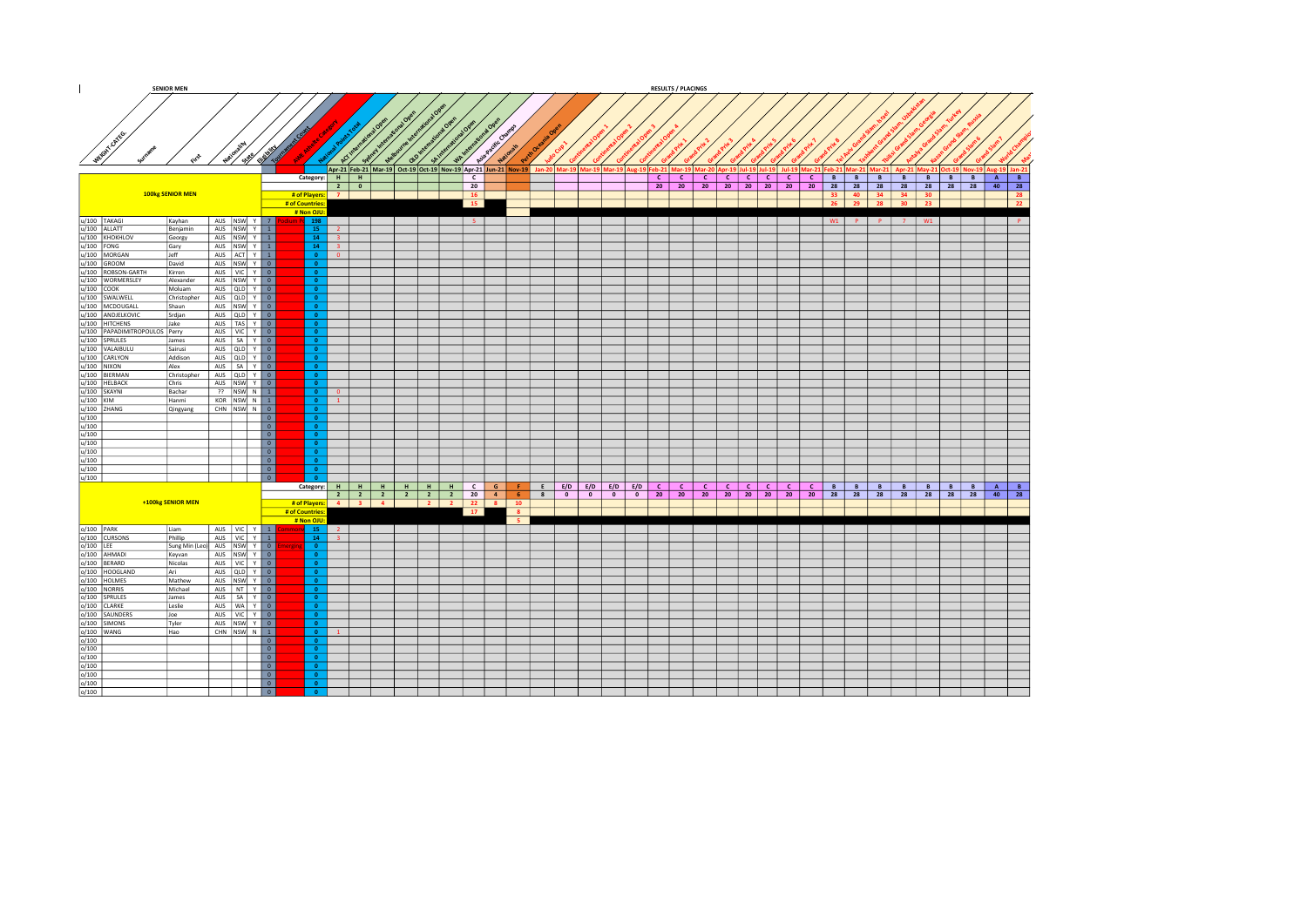|                                                                                                                                                                                                                                                                                               | <b>SENIOR MEN</b> |                                  |                                    |                             |                |                     |                 |         |                |                                   |                |                                                                                                                        |  |                   | <b>RESULTS / PLACINGS</b>    |                |                 |              |                       |                                                   |   |    |                 |                         |                                                                                                                            |
|-----------------------------------------------------------------------------------------------------------------------------------------------------------------------------------------------------------------------------------------------------------------------------------------------|-------------------|----------------------------------|------------------------------------|-----------------------------|----------------|---------------------|-----------------|---------|----------------|-----------------------------------|----------------|------------------------------------------------------------------------------------------------------------------------|--|-------------------|------------------------------|----------------|-----------------|--------------|-----------------------|---------------------------------------------------|---|----|-----------------|-------------------------|----------------------------------------------------------------------------------------------------------------------------|
| WEIGHT ON BO                                                                                                                                                                                                                                                                                  |                   |                                  |                                    |                             |                |                     |                 |         |                | Asia Pacific Champs               |                |                                                                                                                        |  |                   |                              |                |                 |              |                       |                                                   |   |    |                 |                         |                                                                                                                            |
|                                                                                                                                                                                                                                                                                               |                   | Nation State                     |                                    |                             | ್ಲಿ            | cx                  | $\alpha^{\vee}$ | SAIR    | $4\frac{1}{2}$ |                                   |                |                                                                                                                        |  |                   |                              |                |                 |              |                       |                                                   |   |    |                 |                         |                                                                                                                            |
|                                                                                                                                                                                                                                                                                               |                   |                                  |                                    |                             |                |                     |                 |         |                |                                   |                | Apr-21 Feb-21 Mar-19 Oct-19 Oct-19 Nov-19 Apr-21 Jun-21 Nov-19 Jan-20 Mar-19 Mar-19 Mar-19 Aug-19 Feb-21 Mar-19 Mar-20 |  |                   |                              |                |                 |              |                       |                                                   |   |    |                 |                         | pr-19   Jul-19   Jul-19   Jul-19   Mar-21   Feb-21   Mar-21   Mar-21   Apr-21   May-21   Oct-19   Nov-19   Aug-19   Jan-21 |
|                                                                                                                                                                                                                                                                                               |                   |                                  |                                    |                             | Category: H H  |                     |                 |         |                | $\mathbf{c}$                      |                |                                                                                                                        |  | $c \mid c \mid$   |                              |                |                 |              |                       | $C   C   C   C   C   C   C   B   B   B   B   B  $ |   |    |                 | $B \mid B \mid B$       | B<br>A                                                                                                                     |
|                                                                                                                                                                                                                                                                                               |                   |                                  |                                    |                             | $2 \mid 0$     |                     |                 |         |                | 20                                |                |                                                                                                                        |  | $20 \mid 20 \mid$ |                              | 20 20 20 20 20 |                 |              | 20                    |                                                   |   |    |                 | 28 28 28 28 28 28 28 28 | 40<br>28                                                                                                                   |
|                                                                                                                                                                                                                                                                                               | 100kg SENIOR MEN  |                                  |                                    | # of Players:               | $\overline{z}$ |                     |                 |         |                | <b>16</b>                         |                |                                                                                                                        |  |                   |                              |                |                 |              |                       | 33 40 34 34 30                                    |   |    |                 |                         | 28                                                                                                                         |
|                                                                                                                                                                                                                                                                                               |                   |                                  |                                    | # of Countries<br># Non OJU |                |                     |                 |         | 15             |                                   |                |                                                                                                                        |  |                   |                              |                |                 |              |                       | 26 29 28                                          |   | 30 | 23 <sup>°</sup> |                         | 22                                                                                                                         |
| u/100 TAKAGI                                                                                                                                                                                                                                                                                  | Kayhan            | AUS NSW Y 7                      |                                    | P. 198                      |                |                     |                 |         |                | 5 <sub>1</sub>                    |                |                                                                                                                        |  |                   |                              |                |                 |              |                       | $W1$ P P 7 W1                                     |   |    |                 |                         | IP.                                                                                                                        |
| u/100 ALLATT                                                                                                                                                                                                                                                                                  | Benjamin          | AUS NSW Y 1                      |                                    | $15-15$                     | $\overline{2}$ |                     |                 |         |                |                                   |                |                                                                                                                        |  |                   |                              |                |                 |              |                       |                                                   |   |    |                 |                         |                                                                                                                            |
| u/100 KHOKHLOV                                                                                                                                                                                                                                                                                | Georgy            | AUS NSW Y 1                      |                                    | 14                          | $\mathbf{R}$   |                     |                 |         |                |                                   |                |                                                                                                                        |  |                   |                              |                |                 |              |                       |                                                   |   |    |                 |                         |                                                                                                                            |
| $u/100$ FONG                                                                                                                                                                                                                                                                                  | Gary              | AUS NSW Y 1                      |                                    | 14                          | $-2$           |                     |                 |         |                |                                   |                |                                                                                                                        |  |                   |                              |                |                 |              |                       |                                                   |   |    |                 |                         |                                                                                                                            |
| u/100 MORGAN<br>$u/100$ GROOM                                                                                                                                                                                                                                                                 | Jeff<br>David     | AUS ACT Y 1<br>AUS NSW Y 0       |                                    | $\bullet$<br>$\bullet$      | $\Omega$       |                     |                 |         |                |                                   |                |                                                                                                                        |  |                   |                              |                |                 |              |                       |                                                   |   |    |                 |                         |                                                                                                                            |
| u/100 ROBSON-GARTH                                                                                                                                                                                                                                                                            | Kirren            | AUS VIC Y 0                      |                                    | $\bullet$                   |                |                     |                 |         |                |                                   |                |                                                                                                                        |  |                   |                              |                |                 |              |                       |                                                   |   |    |                 |                         |                                                                                                                            |
|                                                                                                                                                                                                                                                                                               | Alexander         | AUS NSW Y 0                      |                                    | $\overline{0}$              |                |                     |                 |         |                |                                   |                |                                                                                                                        |  |                   |                              |                |                 |              |                       |                                                   |   |    |                 |                         |                                                                                                                            |
| u/100 WORMERSLEY<br>u/100 COOK                                                                                                                                                                                                                                                                | Moluam            | AUS QLD Y 0                      |                                    | $\overline{\bullet}$        |                |                     |                 |         |                |                                   |                |                                                                                                                        |  |                   |                              |                |                 |              |                       |                                                   |   |    |                 |                         |                                                                                                                            |
| u/100 SWALWELL                                                                                                                                                                                                                                                                                | Christopher       | AUS QLD Y 0                      |                                    | $\bullet$                   |                |                     |                 |         |                |                                   |                |                                                                                                                        |  |                   |                              |                |                 |              |                       |                                                   |   |    |                 |                         |                                                                                                                            |
| u/100 MCDOUGALL                                                                                                                                                                                                                                                                               | Shaun             | AUS NSW Y 0<br>AUS QLD Y 0       |                                    | $\bullet$<br>$\bullet$      |                |                     |                 |         |                |                                   |                |                                                                                                                        |  |                   |                              |                |                 |              |                       |                                                   |   |    |                 |                         |                                                                                                                            |
|                                                                                                                                                                                                                                                                                               |                   | AUS   TAS   Y   0                |                                    | $\overline{0}$              |                |                     |                 |         |                |                                   |                |                                                                                                                        |  |                   |                              |                |                 |              |                       |                                                   |   |    |                 |                         |                                                                                                                            |
|                                                                                                                                                                                                                                                                                               |                   | AUS VIC Y 0                      |                                    | $\bullet$                   |                |                     |                 |         |                |                                   |                |                                                                                                                        |  |                   |                              |                |                 |              |                       |                                                   |   |    |                 |                         |                                                                                                                            |
| MADIELKOVIC Srdijan<br>V 100 HITCHENS<br>V 100 PAPADIMITROPOLIOS Perry<br>V 100 PAPADIMITROPOLIOS Perry<br>V 100 VALAIBULU Sairusi                                                                                                                                                            |                   | AUS SA Y 0                       |                                    | $\bullet$                   |                |                     |                 |         |                |                                   |                |                                                                                                                        |  |                   |                              |                |                 |              |                       |                                                   |   |    |                 |                         |                                                                                                                            |
|                                                                                                                                                                                                                                                                                               | Sairusi           | AUS QLD Y 0                      |                                    | $\bullet$<br>$\bullet$      |                |                     |                 |         |                |                                   |                |                                                                                                                        |  |                   |                              |                |                 |              |                       |                                                   |   |    |                 |                         |                                                                                                                            |
|                                                                                                                                                                                                                                                                                               | Addison<br>Alex   | AUS QLD Y 0<br>AUS   SA   Y   0  |                                    | $\bullet$                   |                |                     |                 |         |                |                                   |                |                                                                                                                        |  |                   |                              |                |                 |              |                       |                                                   |   |    |                 |                         |                                                                                                                            |
|                                                                                                                                                                                                                                                                                               | Christopher       | AUS QLD Y 0                      |                                    | $\bullet$                   |                |                     |                 |         |                |                                   |                |                                                                                                                        |  |                   |                              |                |                 |              |                       |                                                   |   |    |                 |                         |                                                                                                                            |
|                                                                                                                                                                                                                                                                                               | Chris             | AUS NSW Y 0                      |                                    | $\overline{0}$              |                |                     |                 |         |                |                                   |                |                                                                                                                        |  |                   |                              |                |                 |              |                       |                                                   |   |    |                 |                         |                                                                                                                            |
| $\begin{array}{r l} \hline u/100 & \text{VALYON} \ \hline u/100 & \text{CARLYON} \ \hline u/100 & \text{NIXON} \ \hline u/100 & \text{BIEMAN} \ \hline u/100 & \text{KLEBACK} \ \hline u/100 & \text{KANIM} \ \hline u/100 & \text{KANIM} \ \hline u/100 & \text{NAMIG} \ \hline \end{array}$ | Bachar            | ?? NSW N 1                       |                                    | $\bullet$                   | n              |                     |                 |         |                |                                   |                |                                                                                                                        |  |                   |                              |                |                 |              |                       |                                                   |   |    |                 |                         |                                                                                                                            |
|                                                                                                                                                                                                                                                                                               | Hanmi<br>Qingyang | KOR $ NSW $ N 1<br>CHN NSW N 0   |                                    | $\bullet$<br>$\bullet$      | $\mathbf{1}$   |                     |                 |         |                |                                   |                |                                                                                                                        |  |                   |                              |                |                 |              |                       |                                                   |   |    |                 |                         |                                                                                                                            |
| u/100 ZHANG                                                                                                                                                                                                                                                                                   |                   |                                  | $\overline{\phantom{a}}$           | $\bullet$                   |                |                     |                 |         |                |                                   |                |                                                                                                                        |  |                   |                              |                |                 |              |                       |                                                   |   |    |                 |                         |                                                                                                                            |
| u/100                                                                                                                                                                                                                                                                                         |                   |                                  | $\boxed{0}$                        | $\bullet$                   |                |                     |                 |         |                |                                   |                |                                                                                                                        |  |                   |                              |                |                 |              |                       |                                                   |   |    |                 |                         |                                                                                                                            |
| $\frac{u/100}{u/100}$                                                                                                                                                                                                                                                                         |                   |                                  | $\overline{\phantom{a}}$           | $\overline{0}$              |                |                     |                 |         |                |                                   |                |                                                                                                                        |  |                   |                              |                |                 |              |                       |                                                   |   |    |                 |                         |                                                                                                                            |
|                                                                                                                                                                                                                                                                                               |                   |                                  | $\overline{\phantom{a}}$           | $\overline{\bullet}$        |                |                     |                 |         |                |                                   |                |                                                                                                                        |  |                   |                              |                |                 |              |                       |                                                   |   |    |                 |                         |                                                                                                                            |
| u/100                                                                                                                                                                                                                                                                                         |                   |                                  | $\boxed{\circ}$<br>$\boxed{\circ}$ | $\bullet$<br>$\bullet$      |                |                     |                 |         |                |                                   |                |                                                                                                                        |  |                   |                              |                |                 |              |                       |                                                   |   |    |                 |                         |                                                                                                                            |
| $\frac{u/100}{u/100}$                                                                                                                                                                                                                                                                         |                   |                                  | $\boxed{0}$                        | $\overline{\bullet}$        |                |                     |                 |         |                |                                   |                |                                                                                                                        |  |                   |                              |                |                 |              |                       |                                                   |   |    |                 |                         |                                                                                                                            |
| u/100                                                                                                                                                                                                                                                                                         |                   |                                  | $\overline{\phantom{a}}$           | $\overline{0}$              |                |                     |                 |         |                |                                   |                |                                                                                                                        |  |                   |                              |                |                 |              |                       |                                                   |   |    |                 |                         |                                                                                                                            |
|                                                                                                                                                                                                                                                                                               |                   |                                  |                                    | Category: H                 |                | $H$ $H$ $H$         |                 | $H$ $H$ |                | $C$ $G$                           | <b>F</b>       | $E$ $E/D$ $E/D$ $E/D$ $E/D$ $C$                                                                                        |  |                   | $\mathbf{C}$<br>$\mathbf{C}$ | $\mathbf{C}$   | $c \mid c \mid$ | $\mathsf{C}$ | $\lfloor$ c $\lfloor$ | B<br>B                                            | B | B  |                 | $B \mid B$<br>B         | A<br>B                                                                                                                     |
|                                                                                                                                                                                                                                                                                               | +100kg SENIOR MEN |                                  |                                    |                             |                | 2 2 2 2 2 2 2       |                 |         |                | $20$ 4                            |                | 6 8 0 0 0 0 20 20                                                                                                      |  |                   |                              | 20 20 20 20 20 |                 |              |                       | 20 28 28 28 28                                    |   |    |                 | 28 28 28                | 40<br>28                                                                                                                   |
|                                                                                                                                                                                                                                                                                               |                   |                                  |                                    | # of Countries              |                | # of Players: 4 3 4 |                 |         | 17             | $2 \mid 2 \mid 22 \mid 8 \mid 10$ | 8 <sup>1</sup> |                                                                                                                        |  |                   |                              |                |                 |              |                       |                                                   |   |    |                 |                         |                                                                                                                            |
|                                                                                                                                                                                                                                                                                               |                   |                                  |                                    | # Non OJU                   |                |                     |                 |         |                |                                   | - 5            |                                                                                                                        |  |                   |                              |                |                 |              |                       |                                                   |   |    |                 |                         |                                                                                                                            |
| $o/100$ PARK                                                                                                                                                                                                                                                                                  | Liam              | AUS VIC Y 1                      |                                    | 15                          | $\overline{2}$ |                     |                 |         |                |                                   |                |                                                                                                                        |  |                   |                              |                |                 |              |                       |                                                   |   |    |                 |                         |                                                                                                                            |
| o/100 CURSONS                                                                                                                                                                                                                                                                                 | Phillip           | AUS VIC Y 1                      |                                    | 14                          | -31            |                     |                 |         |                |                                   |                |                                                                                                                        |  |                   |                              |                |                 |              |                       |                                                   |   |    |                 |                         |                                                                                                                            |
| $0/100$ LEE                                                                                                                                                                                                                                                                                   | Sung Min (Leo)    | AUS NSW Y 0                      |                                    | $\bullet$                   |                |                     |                 |         |                |                                   |                |                                                                                                                        |  |                   |                              |                |                 |              |                       |                                                   |   |    |                 |                         |                                                                                                                            |
| $\begin{array}{ c c c }\hline \text{o}/100 & \text{AHMADI} \\\hline \text{o}/100 & \text{BERARD} \\\hline \end{array}$                                                                                                                                                                        | Keyvan<br>Nicolas | AUS NSW Y 0<br>AUS   VIC   Y   0 |                                    | $\bullet$<br>$\bullet$      |                |                     |                 |         |                |                                   |                |                                                                                                                        |  |                   |                              |                |                 |              |                       |                                                   |   |    |                 |                         |                                                                                                                            |
| o/100 HOOGLAND                                                                                                                                                                                                                                                                                | Ari               | AUS QLD Y 0                      |                                    | $\bullet$                   |                |                     |                 |         |                |                                   |                |                                                                                                                        |  |                   |                              |                |                 |              |                       |                                                   |   |    |                 |                         |                                                                                                                            |
|                                                                                                                                                                                                                                                                                               | Mathew            | AUS NSW Y 0                      |                                    | $\bullet$                   |                |                     |                 |         |                |                                   |                |                                                                                                                        |  |                   |                              |                |                 |              |                       |                                                   |   |    |                 |                         |                                                                                                                            |
|                                                                                                                                                                                                                                                                                               |                   | AUS NT Y 0                       |                                    | $\bullet$                   |                |                     |                 |         |                |                                   |                |                                                                                                                        |  |                   |                              |                |                 |              |                       |                                                   |   |    |                 |                         |                                                                                                                            |
|                                                                                                                                                                                                                                                                                               | Michael           |                                  |                                    |                             |                |                     |                 |         |                |                                   |                |                                                                                                                        |  |                   |                              |                |                 |              |                       |                                                   |   |    |                 |                         |                                                                                                                            |
| o/100 HOLMES                                                                                                                                                                                                                                                                                  | James             | AUS SA Y 0                       |                                    | $\bullet$                   |                |                     |                 |         |                |                                   |                |                                                                                                                        |  |                   |                              |                |                 |              |                       |                                                   |   |    |                 |                         |                                                                                                                            |
| o/100 CLARKE                                                                                                                                                                                                                                                                                  | Leslie            | AUS WAY 0                        |                                    | $\bullet$                   |                |                     |                 |         |                |                                   |                |                                                                                                                        |  |                   |                              |                |                 |              |                       |                                                   |   |    |                 |                         |                                                                                                                            |
| o/100 SAUNDERS                                                                                                                                                                                                                                                                                | Joe               | AUS   VIC   Y   0                |                                    | $\bullet$                   |                |                     |                 |         |                |                                   |                |                                                                                                                        |  |                   |                              |                |                 |              |                       |                                                   |   |    |                 |                         |                                                                                                                            |
| o/100 SIMONS                                                                                                                                                                                                                                                                                  | Tyler<br>Han      | AUS NSW Y 0<br>CHN NSW N 1       |                                    | $\bullet$<br>$\overline{0}$ |                |                     |                 |         |                |                                   |                |                                                                                                                        |  |                   |                              |                |                 |              |                       |                                                   |   |    |                 |                         |                                                                                                                            |
| $0/100$ WANG<br>o/100                                                                                                                                                                                                                                                                         |                   |                                  | $\overline{\phantom{a}}$           | $\bullet$                   |                |                     |                 |         |                |                                   |                |                                                                                                                        |  |                   |                              |                |                 |              |                       |                                                   |   |    |                 |                         |                                                                                                                            |
| o/100                                                                                                                                                                                                                                                                                         |                   |                                  | $\overline{\phantom{a}}$           | $\bullet$                   |                |                     |                 |         |                |                                   |                |                                                                                                                        |  |                   |                              |                |                 |              |                       |                                                   |   |    |                 |                         |                                                                                                                            |
| o/100                                                                                                                                                                                                                                                                                         |                   |                                  | $\overline{\phantom{a}}$           | $\bullet$                   |                |                     |                 |         |                |                                   |                |                                                                                                                        |  |                   |                              |                |                 |              |                       |                                                   |   |    |                 |                         |                                                                                                                            |
| o/100                                                                                                                                                                                                                                                                                         |                   |                                  | $\boxed{0}$                        | $\bullet$                   |                |                     |                 |         |                |                                   |                |                                                                                                                        |  |                   |                              |                |                 |              |                       |                                                   |   |    |                 |                         |                                                                                                                            |
| o/100<br>$\frac{0}{100}$                                                                                                                                                                                                                                                                      |                   |                                  | 0 <br> 0 <br>$\boxed{0}$           | $\bullet$<br>$\bullet$      |                |                     |                 |         |                |                                   |                |                                                                                                                        |  |                   |                              |                |                 |              |                       |                                                   |   |    |                 |                         |                                                                                                                            |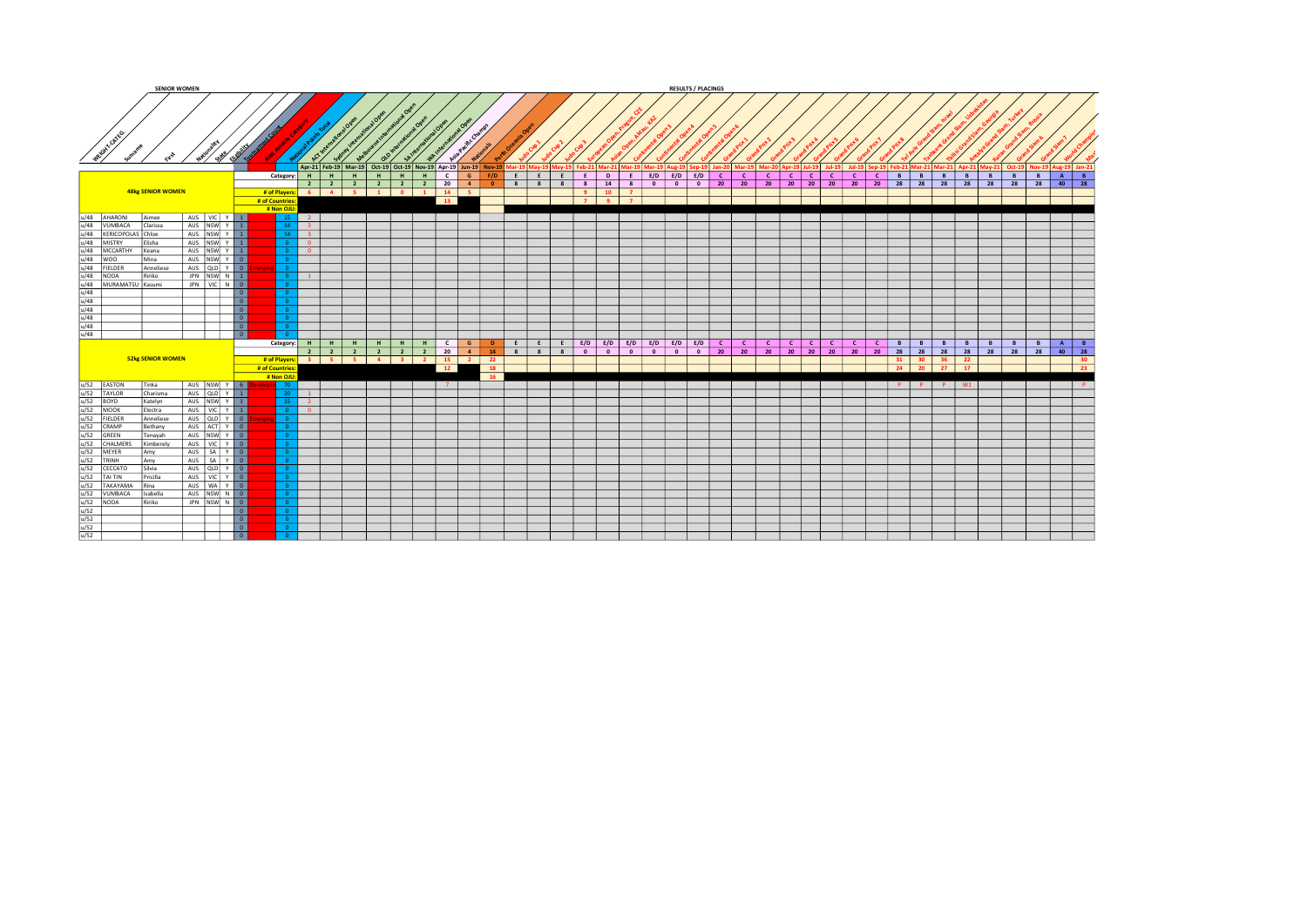|                                                                                                                                                                                                                                                                                                                                                                                                                                                                     |                          | <b>SENIOR WOMEN</b> |                                                                   |                                                           |                                                                |              |   |         |         |          |                |                        |                 |              |            |                |                                        |              |                                                     |                          |                       | <b>RESULTS / PLACINGS</b> |         |              |              |              |                        |                       |              |              |             |              |    |                                   |    |                 |       |          |          |                |                            |
|---------------------------------------------------------------------------------------------------------------------------------------------------------------------------------------------------------------------------------------------------------------------------------------------------------------------------------------------------------------------------------------------------------------------------------------------------------------------|--------------------------|---------------------|-------------------------------------------------------------------|-----------------------------------------------------------|----------------------------------------------------------------|--------------|---|---------|---------|----------|----------------|------------------------|-----------------|--------------|------------|----------------|----------------------------------------|--------------|-----------------------------------------------------|--------------------------|-----------------------|---------------------------|---------|--------------|--------------|--------------|------------------------|-----------------------|--------------|--------------|-------------|--------------|----|-----------------------------------|----|-----------------|-------|----------|----------|----------------|----------------------------|
| GHY CATEGY                                                                                                                                                                                                                                                                                                                                                                                                                                                          |                          | Natur Sav           |                                                                   |                                                           | Apr-21 Feb-19 Mar-19 Oct-19 Oct-19 Nov-19 Apr-19 Jun-19 Nov-19 |              |   |         |         |          |                |                        |                 |              |            |                |                                        |              | Feb-21   Mar-21   Mar-19   Mar-19   Aug-19   Sep-19 |                          |                       |                           |         |              |              |              | Mar-20 Apr-19   Jul-19 |                       |              |              |             |              |    | Sen-19   Feh-21   Mar-21   Mar-21 |    |                 |       |          |          |                | Nov-19   Aug-19   Jan-21   |
|                                                                                                                                                                                                                                                                                                                                                                                                                                                                     |                          |                     |                                                                   | Category:                                                 | $H$ $H$ $H$                                                    |              | H |         | $H$ $H$ | <b>H</b> | $\mathbf{c}$   | $\mathsf{G}$           |                 | F/D          | $E \mid E$ | E              | <b>E</b> 1                             | $\mathbf{D}$ |                                                     |                          | $E$ $E/D$ $E/D$ $E/D$ |                           |         | $\mathbf{C}$ | $\mathbf{C}$ | $\mathsf{C}$ | $\lfloor$ C $\lfloor$  | -c I                  | <b>C</b>     | $\mathsf{C}$ |             | <b>C</b>     | B  | - B - I                           | B  | B               | B     |          | <b>B</b> | B              | $A \overline{B}$           |
|                                                                                                                                                                                                                                                                                                                                                                                                                                                                     | <b>48kg SENIOR WOMEN</b> |                     |                                                                   | # of Players: 6 4 5 1 0 1<br># of Countries<br># Non OJU: | $2 \mid 2 \mid 2 \mid$                                         |              |   |         | 2 2 2   |          | 20<br>14<br>13 | $\frac{1}{2}$<br>- 5 - |                 | $\bullet$    | 88         | 8 <sup>2</sup> | 8 <sup>1</sup><br>9 <sup>1</sup><br>79 | 14<br>10     | 8 <sup>1</sup><br>$\mathbf{z}$<br>$\overline{7}$    | $\overline{\phantom{0}}$ |                       | $0$ 0 20                  |         |              | 20           |              | $20 \t 20 \t 20$       |                       | 20           |              | 20 20 28 28 |              |    |                                   | 28 |                 | 28 28 |          |          |                | 28 28 40 28                |
|                                                                                                                                                                                                                                                                                                                                                                                                                                                                     |                          |                     |                                                                   |                                                           |                                                                |              |   |         |         |          |                |                        |                 |              |            |                |                                        |              |                                                     |                          |                       |                           |         |              |              |              |                        |                       |              |              |             |              |    |                                   |    |                 |       |          |          |                |                            |
|                                                                                                                                                                                                                                                                                                                                                                                                                                                                     |                          | AUS VIC Y 1         |                                                                   |                                                           | $\vert$ 2 $\vert$                                              |              |   |         |         |          |                |                        |                 |              |            |                |                                        |              |                                                     |                          |                       |                           |         |              |              |              |                        |                       |              |              |             |              |    |                                   |    |                 |       |          |          |                |                            |
|                                                                                                                                                                                                                                                                                                                                                                                                                                                                     |                          | AUS NSW Y 1         |                                                                   |                                                           | $\overline{3}$                                                 |              |   |         |         |          |                |                        |                 |              |            |                |                                        |              |                                                     |                          |                       |                           |         |              |              |              |                        |                       |              |              |             |              |    |                                   |    |                 |       |          |          |                |                            |
|                                                                                                                                                                                                                                                                                                                                                                                                                                                                     |                          | AUS NSW Y 1         |                                                                   |                                                           | $\vert$ 3                                                      |              |   |         |         |          |                |                        |                 |              |            |                |                                        |              |                                                     |                          |                       |                           |         |              |              |              |                        |                       |              |              |             |              |    |                                   |    |                 |       |          |          |                |                            |
|                                                                                                                                                                                                                                                                                                                                                                                                                                                                     |                          | AUS NSW Y 1         |                                                                   |                                                           | l o                                                            |              |   |         |         |          |                |                        |                 |              |            |                |                                        |              |                                                     |                          |                       |                           |         |              |              |              |                        |                       |              |              |             |              |    |                                   |    |                 |       |          |          |                |                            |
|                                                                                                                                                                                                                                                                                                                                                                                                                                                                     |                          | AUS NSW Y 1         |                                                                   |                                                           | $\overline{\phantom{a}}$                                       |              |   |         |         |          |                |                        |                 |              |            |                |                                        |              |                                                     |                          |                       |                           |         |              |              |              |                        |                       |              |              |             |              |    |                                   |    |                 |       |          |          |                |                            |
|                                                                                                                                                                                                                                                                                                                                                                                                                                                                     |                          | AUS NSW Y 0         |                                                                   |                                                           |                                                                |              |   |         |         |          |                |                        |                 |              |            |                |                                        |              |                                                     |                          |                       |                           |         |              |              |              |                        |                       |              |              |             |              |    |                                   |    |                 |       |          |          |                |                            |
|                                                                                                                                                                                                                                                                                                                                                                                                                                                                     |                          |                     |                                                                   |                                                           |                                                                |              |   |         |         |          |                |                        |                 |              |            |                |                                        |              |                                                     |                          |                       |                           |         |              |              |              |                        |                       |              |              |             |              |    |                                   |    |                 |       |          |          |                |                            |
|                                                                                                                                                                                                                                                                                                                                                                                                                                                                     | Anneliese                | AUS QLD Y 0         |                                                                   |                                                           |                                                                |              |   |         |         |          |                |                        |                 |              |            |                |                                        |              |                                                     |                          |                       |                           |         |              |              |              |                        |                       |              |              |             |              |    |                                   |    |                 |       |          |          |                |                            |
|                                                                                                                                                                                                                                                                                                                                                                                                                                                                     |                          | JPN NSW N 1         |                                                                   |                                                           | $-1$                                                           |              |   |         |         |          |                |                        |                 |              |            |                |                                        |              |                                                     |                          |                       |                           |         |              |              |              |                        |                       |              |              |             |              |    |                                   |    |                 |       |          |          |                |                            |
|                                                                                                                                                                                                                                                                                                                                                                                                                                                                     |                          | JPN VIC N 0         |                                                                   |                                                           |                                                                |              |   |         |         |          |                |                        |                 |              |            |                |                                        |              |                                                     |                          |                       |                           |         |              |              |              |                        |                       |              |              |             |              |    |                                   |    |                 |       |          |          |                |                            |
|                                                                                                                                                                                                                                                                                                                                                                                                                                                                     |                          |                     | $\overline{\phantom{a}}$                                          |                                                           |                                                                |              |   |         |         |          |                |                        |                 |              |            |                |                                        |              |                                                     |                          |                       |                           |         |              |              |              |                        |                       |              |              |             |              |    |                                   |    |                 |       |          |          |                |                            |
|                                                                                                                                                                                                                                                                                                                                                                                                                                                                     |                          |                     | $\overline{\phantom{a}}$                                          |                                                           |                                                                |              |   |         |         |          |                |                        |                 |              |            |                |                                        |              |                                                     |                          |                       |                           |         |              |              |              |                        |                       |              |              |             |              |    |                                   |    |                 |       |          |          |                |                            |
|                                                                                                                                                                                                                                                                                                                                                                                                                                                                     |                          |                     |                                                                   |                                                           |                                                                |              |   |         |         |          |                |                        |                 |              |            |                |                                        |              |                                                     |                          |                       |                           |         |              |              |              |                        |                       |              |              |             |              |    |                                   |    |                 |       |          |          |                |                            |
|                                                                                                                                                                                                                                                                                                                                                                                                                                                                     |                          |                     |                                                                   |                                                           |                                                                |              |   |         |         |          |                |                        |                 |              |            |                |                                        |              |                                                     |                          |                       |                           |         |              |              |              |                        |                       |              |              |             |              |    |                                   |    |                 |       |          |          |                |                            |
|                                                                                                                                                                                                                                                                                                                                                                                                                                                                     |                          |                     | $\overline{\phantom{a}}$                                          |                                                           |                                                                |              |   |         |         |          |                |                        |                 |              |            |                |                                        |              |                                                     |                          |                       |                           |         |              |              |              |                        |                       |              |              |             |              |    |                                   |    |                 |       |          |          |                |                            |
|                                                                                                                                                                                                                                                                                                                                                                                                                                                                     |                          |                     |                                                                   |                                                           |                                                                |              |   |         |         |          |                |                        |                 |              |            |                |                                        |              |                                                     |                          |                       |                           |         |              |              |              |                        |                       |              |              |             |              |    |                                   |    |                 |       |          |          |                |                            |
|                                                                                                                                                                                                                                                                                                                                                                                                                                                                     |                          |                     | $\begin{array}{ c c } \hline 0 \\ \hline 0 \\ \hline \end{array}$ |                                                           |                                                                |              |   |         |         |          |                |                        |                 |              |            |                |                                        |              |                                                     |                          |                       |                           |         |              |              |              |                        |                       |              |              |             |              |    |                                   |    |                 |       |          |          |                |                            |
|                                                                                                                                                                                                                                                                                                                                                                                                                                                                     |                          |                     | $\overline{\phantom{a}}$                                          |                                                           |                                                                |              |   |         |         |          |                |                        |                 |              |            |                |                                        |              |                                                     |                          |                       |                           |         |              |              |              |                        |                       |              |              |             |              |    |                                   |    |                 |       |          |          |                |                            |
|                                                                                                                                                                                                                                                                                                                                                                                                                                                                     |                          |                     |                                                                   |                                                           |                                                                |              |   |         |         |          |                |                        |                 |              |            |                |                                        |              |                                                     |                          |                       |                           |         |              |              |              |                        |                       |              |              |             |              |    |                                   |    |                 |       |          |          |                |                            |
| $\begin{tabular}{c c c} \hline \multicolumn{1}{c}{\textbf{u/48}} & \multicolumn{1}{c}{\textbf{AHARON}} & \multicolumn{1}{c}{\textbf{Aimee}} \\ \hline \multicolumn{1}{c}{\textbf{u/48}} & \multicolumn{1}{c}{\textbf{WUMACA}} & \multicolumn{1}{c}{\textbf{A}} & \multicolumn{1}{c}{\textbf{A}} & \multicolumn{1}{c}{\textbf{A}} & \multicolumn{1}{c}{\textbf{A}} & \multicolumn{1}{c}{\textbf{A}} & \multicolumn{1}{c}{\textbf{A}} & \multicolumn{1}{c}{\textbf{A$ |                          |                     |                                                                   | Category: H                                               |                                                                | $\mathsf{H}$ | H | $H$ $H$ |         | H        | $\overline{c}$ | G                      |                 | $\mathbf{D}$ | EE         | E              |                                        |              | $E/D$ $E/D$ $E/D$ $E/D$ $E/D$ $E/D$ $E/D$           |                          |                       |                           |         | $\mathbf{C}$ | $\mathbf{C}$ | $\mathsf{C}$ | $\lfloor$ C $\lfloor$  | $\lfloor$ C $\rfloor$ | $\mathbf{C}$ | <b>C</b>     |             | $\mathsf{C}$ | B  | B                                 | B  | B               | B     | <b>B</b> |          | $\overline{B}$ | $A \mid B$                 |
|                                                                                                                                                                                                                                                                                                                                                                                                                                                                     |                          |                     |                                                                   |                                                           | 2 2 2                                                          |              |   |         | 2 2 2   |          | 20             | $\sim$ 4               |                 | 14           | $8 \mid 8$ | 8              | $0$ 0                                  |              | $\circ$                                             | $\bullet$                |                       | $\overline{\phantom{0}}$  | $\circ$ | 20           | 20           |              | 20 20 20 20            |                       |              |              | 20 20       |              | 28 |                                   |    | 28              | 28    | 28       |          | 28             | $40$ 28                    |
|                                                                                                                                                                                                                                                                                                                                                                                                                                                                     | <b>52kg SENIOR WOMEN</b> |                     |                                                                   | # of Players: 3 3 3 4 3 2                                 |                                                                |              |   |         |         |          |                | $15$ $2$               |                 | 22           |            |                |                                        |              |                                                     |                          |                       |                           |         |              |              |              |                        |                       |              |              |             |              |    | 31 30 36                          |    | 22              |       |          |          |                | $\frac{1}{30}$             |
|                                                                                                                                                                                                                                                                                                                                                                                                                                                                     |                          |                     |                                                                   | # of Countries:                                           |                                                                |              |   |         |         |          | $-12$          |                        |                 | <b>18</b>    |            |                |                                        |              |                                                     |                          |                       |                           |         |              |              |              |                        |                       |              |              |             |              | 24 | $20 \t 27$                        |    | 17 <sup>2</sup> |       |          |          |                | $\overline{\phantom{0}23}$ |
|                                                                                                                                                                                                                                                                                                                                                                                                                                                                     |                          |                     |                                                                   | # Non OJL                                                 |                                                                |              |   |         |         |          |                |                        | $\overline{16}$ |              |            |                |                                        |              |                                                     |                          |                       |                           |         |              |              |              |                        |                       |              |              |             |              |    |                                   |    |                 |       |          |          |                |                            |
|                                                                                                                                                                                                                                                                                                                                                                                                                                                                     | <b>Tinka</b>             |                     |                                                                   |                                                           |                                                                |              |   |         |         |          | 7 <sup>7</sup> |                        |                 |              |            |                |                                        |              |                                                     |                          |                       |                           |         |              |              |              |                        |                       |              |              |             |              | P  | P <sub>1</sub>                    | P  | W <sub>1</sub>  |       |          |          |                | P                          |
|                                                                                                                                                                                                                                                                                                                                                                                                                                                                     | Charisma                 | AUS NSW Y 6         |                                                                   |                                                           | $\blacksquare$                                                 |              |   |         |         |          |                |                        |                 |              |            |                |                                        |              |                                                     |                          |                       |                           |         |              |              |              |                        |                       |              |              |             |              |    |                                   |    |                 |       |          |          |                |                            |
|                                                                                                                                                                                                                                                                                                                                                                                                                                                                     |                          | AUS QLD Y 1         |                                                                   |                                                           |                                                                |              |   |         |         |          |                |                        |                 |              |            |                |                                        |              |                                                     |                          |                       |                           |         |              |              |              |                        |                       |              |              |             |              |    |                                   |    |                 |       |          |          |                |                            |
|                                                                                                                                                                                                                                                                                                                                                                                                                                                                     | Katelyn                  | AUS NSW Y 1         |                                                                   |                                                           | $\vert 2 \vert$                                                |              |   |         |         |          |                |                        |                 |              |            |                |                                        |              |                                                     |                          |                       |                           |         |              |              |              |                        |                       |              |              |             |              |    |                                   |    |                 |       |          |          |                |                            |
|                                                                                                                                                                                                                                                                                                                                                                                                                                                                     | Electra                  | AUS VIC Y 1         |                                                                   |                                                           | $\overline{\phantom{a}}$                                       |              |   |         |         |          |                |                        |                 |              |            |                |                                        |              |                                                     |                          |                       |                           |         |              |              |              |                        |                       |              |              |             |              |    |                                   |    |                 |       |          |          |                |                            |
|                                                                                                                                                                                                                                                                                                                                                                                                                                                                     | Anneliese                | AUS QLD Y 0         |                                                                   |                                                           |                                                                |              |   |         |         |          |                |                        |                 |              |            |                |                                        |              |                                                     |                          |                       |                           |         |              |              |              |                        |                       |              |              |             |              |    |                                   |    |                 |       |          |          |                |                            |
|                                                                                                                                                                                                                                                                                                                                                                                                                                                                     | Bethany                  | AUS ACT Y 0         |                                                                   |                                                           |                                                                |              |   |         |         |          |                |                        |                 |              |            |                |                                        |              |                                                     |                          |                       |                           |         |              |              |              |                        |                       |              |              |             |              |    |                                   |    |                 |       |          |          |                |                            |
|                                                                                                                                                                                                                                                                                                                                                                                                                                                                     | Tenavah                  | AUS NSW Y 0         |                                                                   |                                                           |                                                                |              |   |         |         |          |                |                        |                 |              |            |                |                                        |              |                                                     |                          |                       |                           |         |              |              |              |                        |                       |              |              |             |              |    |                                   |    |                 |       |          |          |                |                            |
|                                                                                                                                                                                                                                                                                                                                                                                                                                                                     |                          |                     |                                                                   |                                                           |                                                                |              |   |         |         |          |                |                        |                 |              |            |                |                                        |              |                                                     |                          |                       |                           |         |              |              |              |                        |                       |              |              |             |              |    |                                   |    |                 |       |          |          |                |                            |
|                                                                                                                                                                                                                                                                                                                                                                                                                                                                     | Kimberely                | AUS   VIC Y 0       |                                                                   |                                                           |                                                                |              |   |         |         |          |                |                        |                 |              |            |                |                                        |              |                                                     |                          |                       |                           |         |              |              |              |                        |                       |              |              |             |              |    |                                   |    |                 |       |          |          |                |                            |
|                                                                                                                                                                                                                                                                                                                                                                                                                                                                     | Amy                      | AUS   SA   Y   0    |                                                                   |                                                           |                                                                |              |   |         |         |          |                |                        |                 |              |            |                |                                        |              |                                                     |                          |                       |                           |         |              |              |              |                        |                       |              |              |             |              |    |                                   |    |                 |       |          |          |                |                            |
|                                                                                                                                                                                                                                                                                                                                                                                                                                                                     | lAmv                     | AUS   SA   Y   0    |                                                                   |                                                           |                                                                |              |   |         |         |          |                |                        |                 |              |            |                |                                        |              |                                                     |                          |                       |                           |         |              |              |              |                        |                       |              |              |             |              |    |                                   |    |                 |       |          |          |                |                            |
|                                                                                                                                                                                                                                                                                                                                                                                                                                                                     | l Silvia                 | AUS QLD Y 0         |                                                                   |                                                           |                                                                |              |   |         |         |          |                |                        |                 |              |            |                |                                        |              |                                                     |                          |                       |                           |         |              |              |              |                        |                       |              |              |             |              |    |                                   |    |                 |       |          |          |                |                            |
|                                                                                                                                                                                                                                                                                                                                                                                                                                                                     | Pricilla                 | AUS VIC Y 0         |                                                                   |                                                           |                                                                |              |   |         |         |          |                |                        |                 |              |            |                |                                        |              |                                                     |                          |                       |                           |         |              |              |              |                        |                       |              |              |             |              |    |                                   |    |                 |       |          |          |                |                            |
|                                                                                                                                                                                                                                                                                                                                                                                                                                                                     |                          |                     |                                                                   |                                                           |                                                                |              |   |         |         |          |                |                        |                 |              |            |                |                                        |              |                                                     |                          |                       |                           |         |              |              |              |                        |                       |              |              |             |              |    |                                   |    |                 |       |          |          |                |                            |
|                                                                                                                                                                                                                                                                                                                                                                                                                                                                     | Rina                     | AUS   WA Y 0        |                                                                   |                                                           |                                                                |              |   |         |         |          |                |                        |                 |              |            |                |                                        |              |                                                     |                          |                       |                           |         |              |              |              |                        |                       |              |              |             |              |    |                                   |    |                 |       |          |          |                |                            |
|                                                                                                                                                                                                                                                                                                                                                                                                                                                                     | Isabella                 | AUS NSW N 0         |                                                                   |                                                           |                                                                |              |   |         |         |          |                |                        |                 |              |            |                |                                        |              |                                                     |                          |                       |                           |         |              |              |              |                        |                       |              |              |             |              |    |                                   |    |                 |       |          |          |                |                            |
|                                                                                                                                                                                                                                                                                                                                                                                                                                                                     | Ririko                   | JPN NSW N 0         |                                                                   |                                                           |                                                                |              |   |         |         |          |                |                        |                 |              |            |                |                                        |              |                                                     |                          |                       |                           |         |              |              |              |                        |                       |              |              |             |              |    |                                   |    |                 |       |          |          |                |                            |
|                                                                                                                                                                                                                                                                                                                                                                                                                                                                     |                          |                     | $\overline{\phantom{a}}$                                          |                                                           |                                                                |              |   |         |         |          |                |                        |                 |              |            |                |                                        |              |                                                     |                          |                       |                           |         |              |              |              |                        |                       |              |              |             |              |    |                                   |    |                 |       |          |          |                |                            |
|                                                                                                                                                                                                                                                                                                                                                                                                                                                                     |                          |                     |                                                                   |                                                           |                                                                |              |   |         |         |          |                |                        |                 |              |            |                |                                        |              |                                                     |                          |                       |                           |         |              |              |              |                        |                       |              |              |             |              |    |                                   |    |                 |       |          |          |                |                            |
| $\begin{array}{l l} \hline \textit{W52} & \textit{EASTON} \\ \hline \textit{W52} & \textit{VAVOR} \\ \hline \textit{W52} & \textit{NOOK} \\ \hline \textit{W52} & \textit{MOOK} \\ \hline \textit{W52} & \textit{OREIN} \\ \hline \textit{W52} & \textit{OERMP} \\ \hline \textit{W52} & \textit{OERMP} \\ \hline \textit{W52} & \textit{NCEER} \\ \hline \textit{W52} & \textit{VCHARIC} \\ \hline \textit{W52} & \textit{VCHARIC} \\ \$                           |                          |                     | $\begin{array}{ c c } \hline \circ & \circ \end{array}$           |                                                           |                                                                |              |   |         |         |          |                |                        |                 |              |            |                |                                        |              |                                                     |                          |                       |                           |         |              |              |              |                        |                       |              |              |             |              |    |                                   |    |                 |       |          |          |                |                            |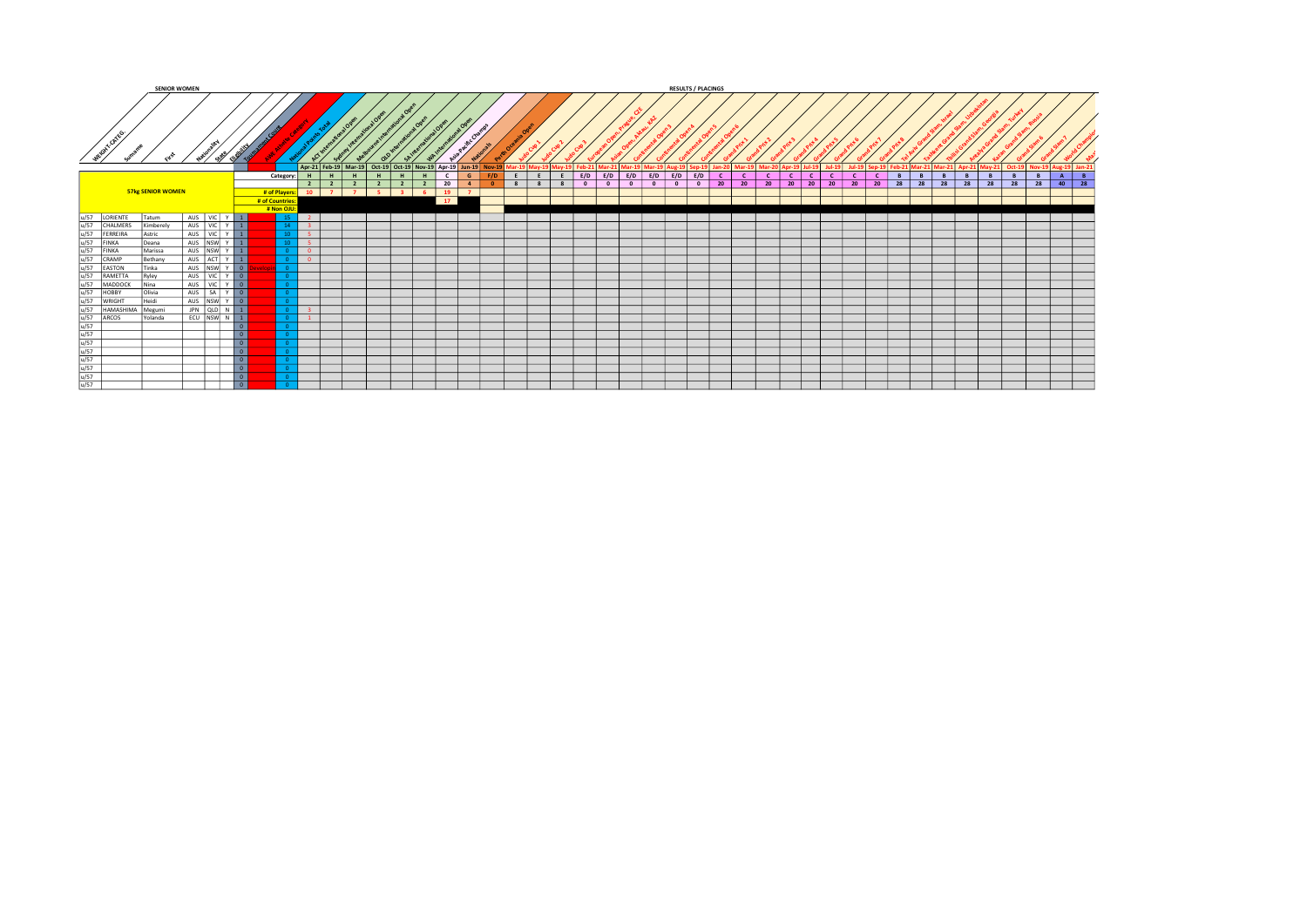|            |                          | <b>SENIOR WOMEN</b> |                |                          |                    |                                                                                                                        |                                  |   |                                  |    |                 |                |          |                         |                                     |         |           |     | <b>RESULTS / PLACINGS</b> |    |    |                           |                   |              |    |                    |               |   |                                                                |    |   |         |    |   |           |
|------------|--------------------------|---------------------|----------------|--------------------------|--------------------|------------------------------------------------------------------------------------------------------------------------|----------------------------------|---|----------------------------------|----|-----------------|----------------|----------|-------------------------|-------------------------------------|---------|-----------|-----|---------------------------|----|----|---------------------------|-------------------|--------------|----|--------------------|---------------|---|----------------------------------------------------------------|----|---|---------|----|---|-----------|
| IGHT ONES. |                          |                     |                |                          |                    | Apr-21 Feb-19 Mar-19 Oct-19 Oct-19 Nov-19 Apr-19 Jun-19 Nov-19 Mar-19 May-19 May-19 Feb-21 Mar-21 Mar-19 Mar-19 Aug-19 |                                  |   |                                  |    |                 |                |          |                         |                                     |         |           |     |                           |    |    | Mar-19 Mar-20 Apr-19 Jul- |                   |              |    | <b>1-19 Sep-19</b> |               |   | Feb-21 Mar-21 Mar-21 Apr-21 May-21 Oct-19 Nov-19 Aug-19 Jan-21 |    |   |         |    |   |           |
|            |                          |                     |                |                          | Category: H        | H                                                                                                                      | H                                | H | H                                |    | $\epsilon$<br>G | E              | E<br>E I |                         | $E/D$ $E/D$ $E/D$ $E/D$ $E/D$ $E/D$ |         |           | E/D | <b>C</b>                  | c  |    | <b>C</b>                  | c I               | $\mathbf{c}$ |    | $\sim$             | B             | B | B                                                              | B  | B | B       | B  | A | B         |
|            |                          |                     |                |                          |                    | $2 \mid 2$                                                                                                             | $\overline{2}$<br>$\overline{2}$ |   | $\overline{2}$<br>$\overline{2}$ |    | $20 \t 4$       | 8 <sup>1</sup> | 88       | $\overline{\mathbf{0}}$ | $\circ$<br>$\overline{0}$           | $\circ$ | $\bullet$ |     | $\circ$                   | 20 | 20 | 20                        | $20 \mid 20 \mid$ | 20           | 20 |                    | $20 \quad 28$ |   | 28 28                                                          | 28 |   | $28$ 28 | 28 |   | $40$ $28$ |
|            | <b>57kg SENIOR WOMEN</b> |                     |                |                          | # of Players:   10 | $\overline{z}$                                                                                                         | - 5 - 1<br>$\sim$ 7 $\sim$       |   | $\overline{\mathbf{3}}$<br>-6.   |    | $19$ $7$        |                |          |                         |                                     |         |           |     |                           |    |    |                           |                   |              |    |                    |               |   |                                                                |    |   |         |    |   |           |
|            |                          |                     |                | # of Countries           |                    |                                                                                                                        |                                  |   |                                  | 17 |                 |                |          |                         |                                     |         |           |     |                           |    |    |                           |                   |              |    |                    |               |   |                                                                |    |   |         |    |   |           |
|            |                          |                     |                |                          | # Non OJU:         |                                                                                                                        |                                  |   |                                  |    |                 |                |          |                         |                                     |         |           |     |                           |    |    |                           |                   |              |    |                    |               |   |                                                                |    |   |         |    |   |           |
| LORIENTE   | <b>Tatum</b>             |                     | AUS VIC Y 1    |                          |                    | $\sim$                                                                                                                 |                                  |   |                                  |    |                 |                |          |                         |                                     |         |           |     |                           |    |    |                           |                   |              |    |                    |               |   |                                                                |    |   |         |    |   |           |
| CHALMERS   | Kimberelv                |                     | AUS VIC Y 1    |                          |                    | $\overline{\mathbf{3}}$                                                                                                |                                  |   |                                  |    |                 |                |          |                         |                                     |         |           |     |                           |    |    |                           |                   |              |    |                    |               |   |                                                                |    |   |         |    |   |           |
| FERREIRA   | Astric                   |                     | AUS   VIC   Y  |                          |                    | -5.                                                                                                                    |                                  |   |                                  |    |                 |                |          |                         |                                     |         |           |     |                           |    |    |                           |                   |              |    |                    |               |   |                                                                |    |   |         |    |   |           |
| FINKA      | Deana                    |                     |                |                          |                    | -51                                                                                                                    |                                  |   |                                  |    |                 |                |          |                         |                                     |         |           |     |                           |    |    |                           |                   |              |    |                    |               |   |                                                                |    |   |         |    |   |           |
| FINKA      | Marissa                  |                     | AUS NSW Y 1    |                          |                    | $\overline{0}$                                                                                                         |                                  |   |                                  |    |                 |                |          |                         |                                     |         |           |     |                           |    |    |                           |                   |              |    |                    |               |   |                                                                |    |   |         |    |   |           |
| CRAMP      | Bethany                  |                     | AUS ACT Y 1    |                          |                    | $\mathbf{0}$                                                                                                           |                                  |   |                                  |    |                 |                |          |                         |                                     |         |           |     |                           |    |    |                           |                   |              |    |                    |               |   |                                                                |    |   |         |    |   |           |
| EASTON     | Tinka                    |                     | AUS NSW Y 0    |                          |                    |                                                                                                                        |                                  |   |                                  |    |                 |                |          |                         |                                     |         |           |     |                           |    |    |                           |                   |              |    |                    |               |   |                                                                |    |   |         |    |   |           |
| RAMETTA    | Ryley                    |                     | AUS VIC Y O    |                          |                    |                                                                                                                        |                                  |   |                                  |    |                 |                |          |                         |                                     |         |           |     |                           |    |    |                           |                   |              |    |                    |               |   |                                                                |    |   |         |    |   |           |
| MADDOCK    | Nina                     |                     | AUS VIC Y 0    |                          |                    |                                                                                                                        |                                  |   |                                  |    |                 |                |          |                         |                                     |         |           |     |                           |    |    |                           |                   |              |    |                    |               |   |                                                                |    |   |         |    |   |           |
| HOBBY      | Olivia                   |                     | AUS SA Y O     |                          |                    |                                                                                                                        |                                  |   |                                  |    |                 |                |          |                         |                                     |         |           |     |                           |    |    |                           |                   |              |    |                    |               |   |                                                                |    |   |         |    |   |           |
| WRIGHT     | Heidi                    |                     |                |                          |                    |                                                                                                                        |                                  |   |                                  |    |                 |                |          |                         |                                     |         |           |     |                           |    |    |                           |                   |              |    |                    |               |   |                                                                |    |   |         |    |   |           |
| HAMASHIMA  | Megumi                   |                     | JPN QLD N 1    |                          |                    | -3.                                                                                                                    |                                  |   |                                  |    |                 |                |          |                         |                                     |         |           |     |                           |    |    |                           |                   |              |    |                    |               |   |                                                                |    |   |         |    |   |           |
| ARCOS      | Yolanda                  |                     | ECU NSW N 1    |                          |                    | $\sim$                                                                                                                 |                                  |   |                                  |    |                 |                |          |                         |                                     |         |           |     |                           |    |    |                           |                   |              |    |                    |               |   |                                                                |    |   |         |    |   |           |
|            |                          |                     |                |                          |                    |                                                                                                                        |                                  |   |                                  |    |                 |                |          |                         |                                     |         |           |     |                           |    |    |                           |                   |              |    |                    |               |   |                                                                |    |   |         |    |   |           |
|            |                          |                     |                |                          |                    |                                                                                                                        |                                  |   |                                  |    |                 |                |          |                         |                                     |         |           |     |                           |    |    |                           |                   |              |    |                    |               |   |                                                                |    |   |         |    |   |           |
|            |                          |                     |                |                          |                    |                                                                                                                        |                                  |   |                                  |    |                 |                |          |                         |                                     |         |           |     |                           |    |    |                           |                   |              |    |                    |               |   |                                                                |    |   |         |    |   |           |
|            |                          |                     |                | l o                      |                    |                                                                                                                        |                                  |   |                                  |    |                 |                |          |                         |                                     |         |           |     |                           |    |    |                           |                   |              |    |                    |               |   |                                                                |    |   |         |    |   |           |
|            |                          |                     | $\overline{0}$ |                          |                    |                                                                                                                        |                                  |   |                                  |    |                 |                |          |                         |                                     |         |           |     |                           |    |    |                           |                   |              |    |                    |               |   |                                                                |    |   |         |    |   |           |
|            |                          |                     |                | $\overline{\phantom{a}}$ |                    |                                                                                                                        |                                  |   |                                  |    |                 |                |          |                         |                                     |         |           |     |                           |    |    |                           |                   |              |    |                    |               |   |                                                                |    |   |         |    |   |           |
|            |                          |                     |                |                          |                    |                                                                                                                        |                                  |   |                                  |    |                 |                |          |                         |                                     |         |           |     |                           |    |    |                           |                   |              |    |                    |               |   |                                                                |    |   |         |    |   |           |
|            |                          |                     |                |                          |                    |                                                                                                                        |                                  |   |                                  |    |                 |                |          |                         |                                     |         |           |     |                           |    |    |                           |                   |              |    |                    |               |   |                                                                |    |   |         |    |   |           |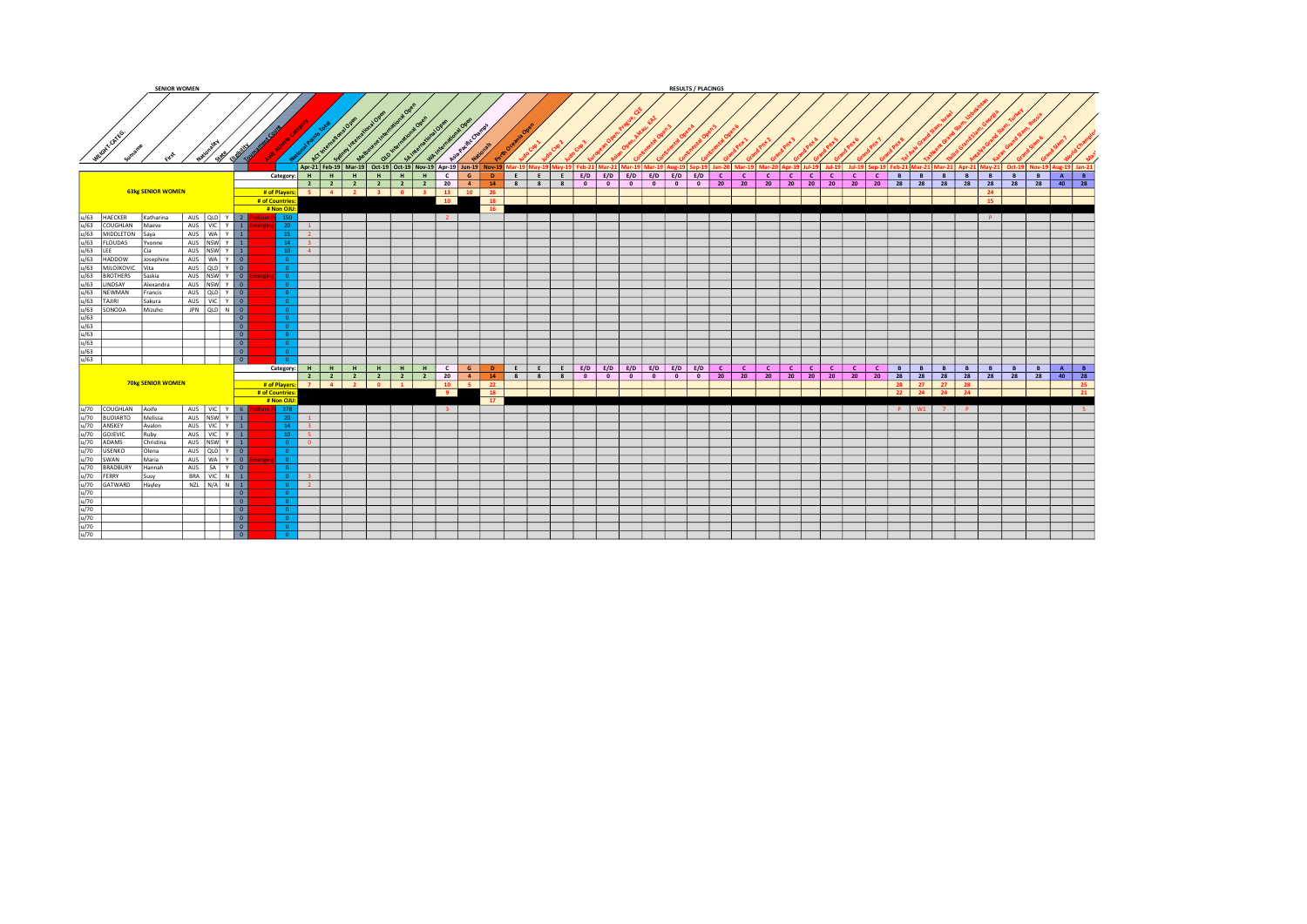| <b>SENIOR WOMEN</b>                                                                                                                                                                                                                                                                                                                                                                                                                                    |                           |                          |                                                     |                         |                        |            |   |                                                                    |                 |                                                                |                       |                   |                                                     |                          |                                       | <b>RESULTS / PLACINGS</b> |                       |              |                                                                           |              |                 |   |                                    |   |              |                      |          |                       |                             |
|--------------------------------------------------------------------------------------------------------------------------------------------------------------------------------------------------------------------------------------------------------------------------------------------------------------------------------------------------------------------------------------------------------------------------------------------------------|---------------------------|--------------------------|-----------------------------------------------------|-------------------------|------------------------|------------|---|--------------------------------------------------------------------|-----------------|----------------------------------------------------------------|-----------------------|-------------------|-----------------------------------------------------|--------------------------|---------------------------------------|---------------------------|-----------------------|--------------|---------------------------------------------------------------------------|--------------|-----------------|---|------------------------------------|---|--------------|----------------------|----------|-----------------------|-----------------------------|
| Metant corres                                                                                                                                                                                                                                                                                                                                                                                                                                          | - 39<br>$\leftrightarrow$ |                          |                                                     |                         |                        |            |   |                                                                    |                 | Apr-21 Feb-19 Mar-19 Oct-19 Oct-19 Nov-19 Apr-19 Jun-19 Nov-19 |                       |                   | lar-19   Mav-19   Mav-19   Feb-21   Mar-21   Mar-19 |                          |                                       |                           |                       |              | )   Mar-19   Aug-19   Sep-19   Jan-20   Mar-19   Mar-20   Apr-19   Jul-19 | $Jul-19$     |                 |   | Jul-19 Sep-19 Feb-21 Mar-21 Mar-21 |   |              |                      |          |                       | Oct-19 Nov-19 Aug-19 Jan-21 |
|                                                                                                                                                                                                                                                                                                                                                                                                                                                        |                           |                          | Category: H   H   H                                 |                         |                        | <b>H</b> I | H | $H$ $C$                                                            | G               | $\mathbf{D}$                                                   |                       | $E \mid E \mid E$ | $E/D$ $E/D$ $E/D$ $E/D$ $E/D$ $E/D$ $E/D$ $C$       |                          |                                       |                           | $\lfloor$ C $\lfloor$ | $\mathbf{C}$ | $c \mid c \mid$                                                           | $\mathbf{C}$ | $c \mid c \mid$ | B | $-B$                               | B | B            | B                    | <b>B</b> | <b>B</b> A B          |                             |
| <b>63kg SENIOR WOMEN</b>                                                                                                                                                                                                                                                                                                                                                                                                                               |                           |                          | # of Players: 5 4 2<br># of Countries<br># Non OJU: |                         | $2 \mid 2 \mid 2 \mid$ |            |   | $\begin{array}{c c c c c c c c} \hline 2 & 2 & 2 & 20 \end{array}$ | 10              | $-4$<br>14<br>3 0 3 13 10 26<br>18<br>16                       |                       | $8 \mid 8 \mid 8$ | $\bullet$                                           | $\overline{\phantom{0}}$ | $\overline{\phantom{a}}$<br>$\bullet$ | $0$ 0 20                  | 20                    | 20           | 20 20 20 20 20 20 28 28 28 28 28                                          |              |                 |   |                                    |   |              | 24<br>$\frac{1}{15}$ |          |                       | 28 28 40 28                 |
|                                                                                                                                                                                                                                                                                                                                                                                                                                                        | AUS QLD Y 2               |                          |                                                     |                         |                        |            |   |                                                                    |                 |                                                                |                       |                   |                                                     |                          |                                       |                           |                       |              |                                                                           |              |                 |   |                                    |   |              | P                    |          |                       |                             |
| u/63 HAECKER<br>Katharina                                                                                                                                                                                                                                                                                                                                                                                                                              |                           |                          |                                                     |                         |                        |            |   |                                                                    | $\vert 2 \vert$ |                                                                |                       |                   |                                                     |                          |                                       |                           |                       |              |                                                                           |              |                 |   |                                    |   |              |                      |          |                       |                             |
| Maeye                                                                                                                                                                                                                                                                                                                                                                                                                                                  | AUS   VIC   Y   1         |                          |                                                     | $\blacksquare$          |                        |            |   |                                                                    |                 |                                                                |                       |                   |                                                     |                          |                                       |                           |                       |              |                                                                           |              |                 |   |                                    |   |              |                      |          |                       |                             |
| <b>Sava</b>                                                                                                                                                                                                                                                                                                                                                                                                                                            | AUS   WA   Y   1          |                          |                                                     | $\vert 2 \vert$         |                        |            |   |                                                                    |                 |                                                                |                       |                   |                                                     |                          |                                       |                           |                       |              |                                                                           |              |                 |   |                                    |   |              |                      |          |                       |                             |
| <b>Yvonne</b>                                                                                                                                                                                                                                                                                                                                                                                                                                          | AUS NSW Y 1               |                          |                                                     | $\overline{1}$ 3        |                        |            |   |                                                                    |                 |                                                                |                       |                   |                                                     |                          |                                       |                           |                       |              |                                                                           |              |                 |   |                                    |   |              |                      |          |                       |                             |
|                                                                                                                                                                                                                                                                                                                                                                                                                                                        |                           |                          |                                                     |                         |                        |            |   |                                                                    |                 |                                                                |                       |                   |                                                     |                          |                                       |                           |                       |              |                                                                           |              |                 |   |                                    |   |              |                      |          |                       |                             |
| Cia                                                                                                                                                                                                                                                                                                                                                                                                                                                    | AUS NSW Y 1               |                          |                                                     | $-4$                    |                        |            |   |                                                                    |                 |                                                                |                       |                   |                                                     |                          |                                       |                           |                       |              |                                                                           |              |                 |   |                                    |   |              |                      |          |                       |                             |
| $\begin{array}{l l l} \hline \psi(8) & \text{MACER} \\ \hline \psi(8) & \text{MOCCHAN} \\ \hline \psi(8) & \text{MODCHON} \\ \hline \psi(9) & \text{ELOUSER} \\ \hline \psi(9) & \text{ELOUDAS} \\ \hline \psi(8) & \text{MLOINON} \\ \hline \psi(9) & \text{MLOINONON} \\ \hline \psi(9) & \text{MPOMONON} \\ \hline \psi(1) & \text{MPOMAN} \\ \hline \psi(1) & \text{MPOMAN} \\ \hline \psi(1) & \text{MPOMAN} \\ \hline \psi(1) & \$<br>'Josephine | AUS WAY 0                 |                          |                                                     |                         |                        |            |   |                                                                    |                 |                                                                |                       |                   |                                                     |                          |                                       |                           |                       |              |                                                                           |              |                 |   |                                    |   |              |                      |          |                       |                             |
| l Vita                                                                                                                                                                                                                                                                                                                                                                                                                                                 |                           |                          |                                                     |                         |                        |            |   |                                                                    |                 |                                                                |                       |                   |                                                     |                          |                                       |                           |                       |              |                                                                           |              |                 |   |                                    |   |              |                      |          |                       |                             |
| Saskia                                                                                                                                                                                                                                                                                                                                                                                                                                                 | AUS NSW Y 0               |                          |                                                     |                         |                        |            |   |                                                                    |                 |                                                                |                       |                   |                                                     |                          |                                       |                           |                       |              |                                                                           |              |                 |   |                                    |   |              |                      |          |                       |                             |
|                                                                                                                                                                                                                                                                                                                                                                                                                                                        |                           |                          |                                                     |                         |                        |            |   |                                                                    |                 |                                                                |                       |                   |                                                     |                          |                                       |                           |                       |              |                                                                           |              |                 |   |                                    |   |              |                      |          |                       |                             |
| Alexandra                                                                                                                                                                                                                                                                                                                                                                                                                                              | AUS NSW Y 0               |                          |                                                     |                         |                        |            |   |                                                                    |                 |                                                                |                       |                   |                                                     |                          |                                       |                           |                       |              |                                                                           |              |                 |   |                                    |   |              |                      |          |                       |                             |
| Francis                                                                                                                                                                                                                                                                                                                                                                                                                                                | AUS QLD Y 0               |                          |                                                     |                         |                        |            |   |                                                                    |                 |                                                                |                       |                   |                                                     |                          |                                       |                           |                       |              |                                                                           |              |                 |   |                                    |   |              |                      |          |                       |                             |
| <b>Sakura</b>                                                                                                                                                                                                                                                                                                                                                                                                                                          | AUS   VIC Y O             |                          |                                                     |                         |                        |            |   |                                                                    |                 |                                                                |                       |                   |                                                     |                          |                                       |                           |                       |              |                                                                           |              |                 |   |                                    |   |              |                      |          |                       |                             |
| Mizuho                                                                                                                                                                                                                                                                                                                                                                                                                                                 | JPN QLD N 0               |                          |                                                     |                         |                        |            |   |                                                                    |                 |                                                                |                       |                   |                                                     |                          |                                       |                           |                       |              |                                                                           |              |                 |   |                                    |   |              |                      |          |                       |                             |
|                                                                                                                                                                                                                                                                                                                                                                                                                                                        |                           |                          |                                                     |                         |                        |            |   |                                                                    |                 |                                                                |                       |                   |                                                     |                          |                                       |                           |                       |              |                                                                           |              |                 |   |                                    |   |              |                      |          |                       |                             |
|                                                                                                                                                                                                                                                                                                                                                                                                                                                        |                           | 0                        |                                                     |                         |                        |            |   |                                                                    |                 |                                                                |                       |                   |                                                     |                          |                                       |                           |                       |              |                                                                           |              |                 |   |                                    |   |              |                      |          |                       |                             |
|                                                                                                                                                                                                                                                                                                                                                                                                                                                        |                           | $\overline{\phantom{a}}$ |                                                     |                         |                        |            |   |                                                                    |                 |                                                                |                       |                   |                                                     |                          |                                       |                           |                       |              |                                                                           |              |                 |   |                                    |   |              |                      |          |                       |                             |
|                                                                                                                                                                                                                                                                                                                                                                                                                                                        |                           | $\boxed{0}$              |                                                     |                         |                        |            |   |                                                                    |                 |                                                                |                       |                   |                                                     |                          |                                       |                           |                       |              |                                                                           |              |                 |   |                                    |   |              |                      |          |                       |                             |
|                                                                                                                                                                                                                                                                                                                                                                                                                                                        |                           | $\overline{\phantom{a}}$ |                                                     |                         |                        |            |   |                                                                    |                 |                                                                |                       |                   |                                                     |                          |                                       |                           |                       |              |                                                                           |              |                 |   |                                    |   |              |                      |          |                       |                             |
|                                                                                                                                                                                                                                                                                                                                                                                                                                                        |                           |                          |                                                     |                         |                        |            |   |                                                                    |                 |                                                                |                       |                   |                                                     |                          |                                       |                           |                       |              |                                                                           |              |                 |   |                                    |   |              |                      |          |                       |                             |
|                                                                                                                                                                                                                                                                                                                                                                                                                                                        |                           | $\overline{\phantom{0}}$ |                                                     |                         |                        |            |   |                                                                    |                 |                                                                |                       |                   |                                                     |                          |                                       |                           |                       |              |                                                                           |              |                 |   |                                    |   |              |                      |          |                       |                             |
|                                                                                                                                                                                                                                                                                                                                                                                                                                                        |                           | $\overline{0}$           |                                                     |                         |                        |            |   |                                                                    |                 |                                                                |                       |                   |                                                     |                          |                                       |                           |                       |              |                                                                           |              |                 |   |                                    |   |              |                      |          |                       |                             |
|                                                                                                                                                                                                                                                                                                                                                                                                                                                        |                           |                          | Category: $H$ $H$ $H$                               |                         |                        | $H$ $H$    |   |                                                                    |                 |                                                                |                       |                   |                                                     |                          |                                       |                           |                       |              | c c c c c s s s                                                           |              |                 |   |                                    |   | $B$ $B$      |                      |          | $B$   $B$   $A$   $B$ |                             |
|                                                                                                                                                                                                                                                                                                                                                                                                                                                        |                           |                          |                                                     |                         | $2$ $2$ $2$            |            |   |                                                                    |                 |                                                                | 2 2 2 20 4 14 8 8 8 8 |                   | $\bullet$                                           | $\bullet$                | $\bullet$<br>$\overline{\phantom{0}}$ | $0$ 0 20                  | 20 20                 |              | 20 20 20 20 20 28 28 28 28 28 2                                           |              |                 |   |                                    |   |              |                      |          |                       | 28 28 40 28                 |
| <b>70kg SENIOR WOMEN</b>                                                                                                                                                                                                                                                                                                                                                                                                                               |                           |                          |                                                     |                         |                        |            |   |                                                                    |                 |                                                                |                       |                   |                                                     |                          |                                       |                           |                       |              |                                                                           |              |                 |   |                                    |   |              |                      |          |                       |                             |
|                                                                                                                                                                                                                                                                                                                                                                                                                                                        |                           |                          | # of Players: 7 4 2                                 |                         |                        | $0$ 1      |   |                                                                    |                 | $10 \mid 5 \mid 22$                                            |                       |                   |                                                     |                          |                                       |                           |                       |              |                                                                           |              |                 |   | 28 27 27                           |   | 28           |                      |          |                       | $25 -$                      |
|                                                                                                                                                                                                                                                                                                                                                                                                                                                        |                           |                          | # of Countries                                      |                         |                        |            |   |                                                                    | 9               | 18                                                             |                       |                   |                                                     |                          |                                       |                           |                       |              |                                                                           |              |                 |   | 22 24 24                           |   | 24           |                      |          |                       | $\frac{1}{21}$              |
|                                                                                                                                                                                                                                                                                                                                                                                                                                                        |                           |                          | # Non OJU                                           |                         |                        |            |   |                                                                    |                 | $-17$                                                          |                       |                   |                                                     |                          |                                       |                           |                       |              |                                                                           |              |                 |   |                                    |   |              |                      |          |                       |                             |
|                                                                                                                                                                                                                                                                                                                                                                                                                                                        | AUS VIC Y 6               |                          |                                                     |                         |                        |            |   |                                                                    | $-3$            |                                                                |                       |                   |                                                     |                          |                                       |                           |                       |              |                                                                           |              |                 |   | P W1 7                             |   | $\mathbf{P}$ |                      |          |                       |                             |
|                                                                                                                                                                                                                                                                                                                                                                                                                                                        |                           |                          |                                                     | $\mathbf{1}$            |                        |            |   |                                                                    |                 |                                                                |                       |                   |                                                     |                          |                                       |                           |                       |              |                                                                           |              |                 |   |                                    |   |              |                      |          |                       |                             |
| Melissa                                                                                                                                                                                                                                                                                                                                                                                                                                                | AUS NSW Y 1               |                          |                                                     |                         |                        |            |   |                                                                    |                 |                                                                |                       |                   |                                                     |                          |                                       |                           |                       |              |                                                                           |              |                 |   |                                    |   |              |                      |          |                       |                             |
| Avalon                                                                                                                                                                                                                                                                                                                                                                                                                                                 | AUS VIC Y 1               |                          |                                                     | $\overline{1}$ 3        |                        |            |   |                                                                    |                 |                                                                |                       |                   |                                                     |                          |                                       |                           |                       |              |                                                                           |              |                 |   |                                    |   |              |                      |          |                       |                             |
|                                                                                                                                                                                                                                                                                                                                                                                                                                                        | AUS VIC Y 1               |                          |                                                     | $-5$                    |                        |            |   |                                                                    |                 |                                                                |                       |                   |                                                     |                          |                                       |                           |                       |              |                                                                           |              |                 |   |                                    |   |              |                      |          |                       |                             |
| Christina                                                                                                                                                                                                                                                                                                                                                                                                                                              |                           |                          |                                                     | $\overline{\mathbf{0}}$ |                        |            |   |                                                                    |                 |                                                                |                       |                   |                                                     |                          |                                       |                           |                       |              |                                                                           |              |                 |   |                                    |   |              |                      |          |                       |                             |
| Olena                                                                                                                                                                                                                                                                                                                                                                                                                                                  | AUS NSW Y 1               |                          |                                                     |                         |                        |            |   |                                                                    |                 |                                                                |                       |                   |                                                     |                          |                                       |                           |                       |              |                                                                           |              |                 |   |                                    |   |              |                      |          |                       |                             |
|                                                                                                                                                                                                                                                                                                                                                                                                                                                        |                           |                          |                                                     |                         |                        |            |   |                                                                    |                 |                                                                |                       |                   |                                                     |                          |                                       |                           |                       |              |                                                                           |              |                 |   |                                    |   |              |                      |          |                       |                             |
|                                                                                                                                                                                                                                                                                                                                                                                                                                                        | AUS   WA   Y   0          |                          |                                                     |                         |                        |            |   |                                                                    |                 |                                                                |                       |                   |                                                     |                          |                                       |                           |                       |              |                                                                           |              |                 |   |                                    |   |              |                      |          |                       |                             |
| Hannah                                                                                                                                                                                                                                                                                                                                                                                                                                                 | AUS   SA   Y   0          |                          |                                                     |                         |                        |            |   |                                                                    |                 |                                                                |                       |                   |                                                     |                          |                                       |                           |                       |              |                                                                           |              |                 |   |                                    |   |              |                      |          |                       |                             |
|                                                                                                                                                                                                                                                                                                                                                                                                                                                        |                           | BRA VIC N 1              |                                                     | $-3$                    |                        |            |   |                                                                    |                 |                                                                |                       |                   |                                                     |                          |                                       |                           |                       |              |                                                                           |              |                 |   |                                    |   |              |                      |          |                       |                             |
| Hayley                                                                                                                                                                                                                                                                                                                                                                                                                                                 | $NZL$ $N/A$ $N$ $1$       |                          |                                                     | $-2$                    |                        |            |   |                                                                    |                 |                                                                |                       |                   |                                                     |                          |                                       |                           |                       |              |                                                                           |              |                 |   |                                    |   |              |                      |          |                       |                             |
|                                                                                                                                                                                                                                                                                                                                                                                                                                                        |                           |                          |                                                     |                         |                        |            |   |                                                                    |                 |                                                                |                       |                   |                                                     |                          |                                       |                           |                       |              |                                                                           |              |                 |   |                                    |   |              |                      |          |                       |                             |
|                                                                                                                                                                                                                                                                                                                                                                                                                                                        |                           | 0                        |                                                     |                         |                        |            |   |                                                                    |                 |                                                                |                       |                   |                                                     |                          |                                       |                           |                       |              |                                                                           |              |                 |   |                                    |   |              |                      |          |                       |                             |
|                                                                                                                                                                                                                                                                                                                                                                                                                                                        |                           | $\overline{\phantom{a}}$ |                                                     |                         |                        |            |   |                                                                    |                 |                                                                |                       |                   |                                                     |                          |                                       |                           |                       |              |                                                                           |              |                 |   |                                    |   |              |                      |          |                       |                             |
|                                                                                                                                                                                                                                                                                                                                                                                                                                                        |                           | $\overline{\phantom{a}}$ |                                                     |                         |                        |            |   |                                                                    |                 |                                                                |                       |                   |                                                     |                          |                                       |                           |                       |              |                                                                           |              |                 |   |                                    |   |              |                      |          |                       |                             |
| $\begin{tabular}{l c c c} \hline $u/70$ & COUCHLAN & Aoife \\ \hline $u/70$ & BUDIART & Meiliss \\ \hline $u/70$ & GOVSUC & Rubion \\ \hline $u/70$ & GOVSUC & CoHV\\ \hline $u/70$ & OSDWAN & Oleha \\ \hline $u/70$ & SUMAN & Susify \\ \hline $u/70$ & SNNAN & Susify \\ \hline $u/70$ & GAVIWARD & Hapley \\ \hline $u/70$ & $u/70$ & $u/70$ \\ \hline $u/70$ & $u/70$ & $u/70$ \\ \hline $u/7$                                                    |                           | $\overline{\phantom{a}}$ |                                                     |                         |                        |            |   |                                                                    |                 |                                                                |                       |                   |                                                     |                          |                                       |                           |                       |              |                                                                           |              |                 |   |                                    |   |              |                      |          |                       |                             |
|                                                                                                                                                                                                                                                                                                                                                                                                                                                        |                           | $\overline{\phantom{a}}$ |                                                     |                         |                        |            |   |                                                                    |                 |                                                                |                       |                   |                                                     |                          |                                       |                           |                       |              |                                                                           |              |                 |   |                                    |   |              |                      |          |                       |                             |
|                                                                                                                                                                                                                                                                                                                                                                                                                                                        |                           |                          |                                                     |                         |                        |            |   |                                                                    |                 |                                                                |                       |                   |                                                     |                          |                                       |                           |                       |              |                                                                           |              |                 |   |                                    |   |              |                      |          |                       |                             |
|                                                                                                                                                                                                                                                                                                                                                                                                                                                        |                           | $\overline{\phantom{0}}$ |                                                     |                         |                        |            |   |                                                                    |                 |                                                                |                       |                   |                                                     |                          |                                       |                           |                       |              |                                                                           |              |                 |   |                                    |   |              |                      |          |                       |                             |